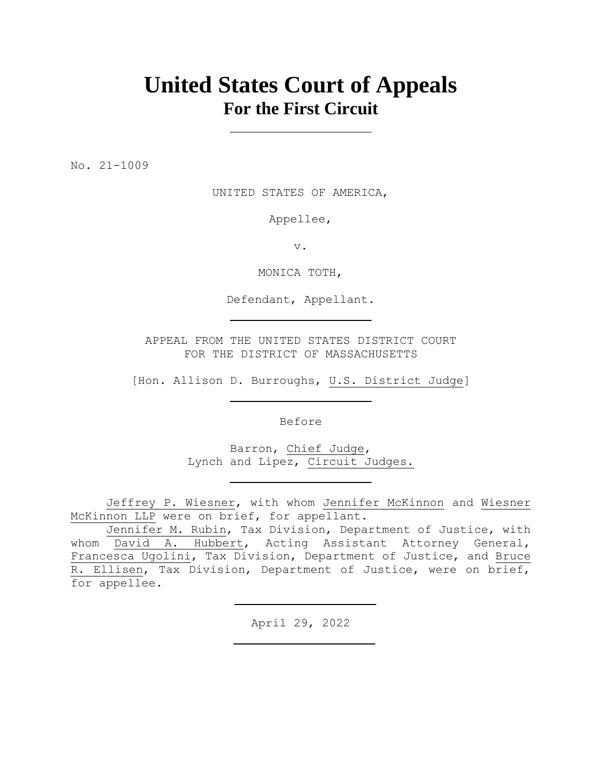# **United States Court of Appeals For the First Circuit**

No. 21-1009

UNITED STATES OF AMERICA,

Appellee,

v.

MONICA TOTH,

Defendant, Appellant.

APPEAL FROM THE UNITED STATES DISTRICT COURT FOR THE DISTRICT OF MASSACHUSETTS

[Hon. Allison D. Burroughs, U.S. District Judge]

Before

Barron, Chief Judge, Lynch and Lipez, Circuit Judges.

Jeffrey P. Wiesner, with whom Jennifer McKinnon and Wiesner McKinnon LLP were on brief, for appellant.

Jennifer M. Rubin, Tax Division, Department of Justice, with whom David A. Hubbert, Acting Assistant Attorney General, Francesca Ugolini, Tax Division, Department of Justice, and Bruce R. Ellisen, Tax Division, Department of Justice, were on brief, for appellee.

April 29, 2022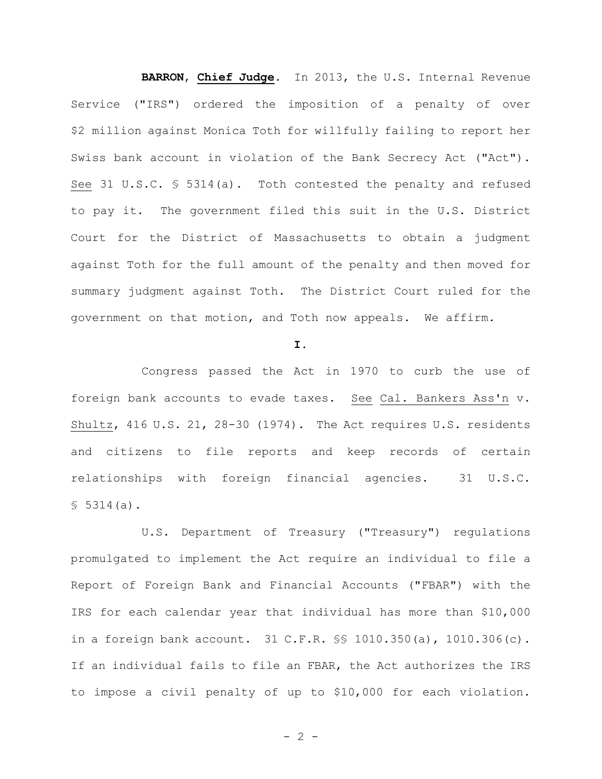**BARRON**, **Chief Judge**. In 2013, the U.S. Internal Revenue Service ("IRS") ordered the imposition of a penalty of over \$2 million against Monica Toth for willfully failing to report her Swiss bank account in violation of the Bank Secrecy Act ("Act"). See 31 U.S.C. § 5314(a). Toth contested the penalty and refused to pay it. The government filed this suit in the U.S. District Court for the District of Massachusetts to obtain a judgment against Toth for the full amount of the penalty and then moved for summary judgment against Toth. The District Court ruled for the government on that motion, and Toth now appeals. We affirm.

#### **I.**

Congress passed the Act in 1970 to curb the use of foreign bank accounts to evade taxes. See Cal. Bankers Ass'n v. Shultz, 416 U.S. 21, 28-30 (1974). The Act requires U.S. residents and citizens to file reports and keep records of certain relationships with foreign financial agencies. 31 U.S.C.  $$5314(a).$ 

U.S. Department of Treasury ("Treasury") regulations promulgated to implement the Act require an individual to file a Report of Foreign Bank and Financial Accounts ("FBAR") with the IRS for each calendar year that individual has more than \$10,000 in a foreign bank account. 31 C.F.R. §§ 1010.350(a), 1010.306(c). If an individual fails to file an FBAR, the Act authorizes the IRS to impose a civil penalty of up to \$10,000 for each violation.

 $- 2 -$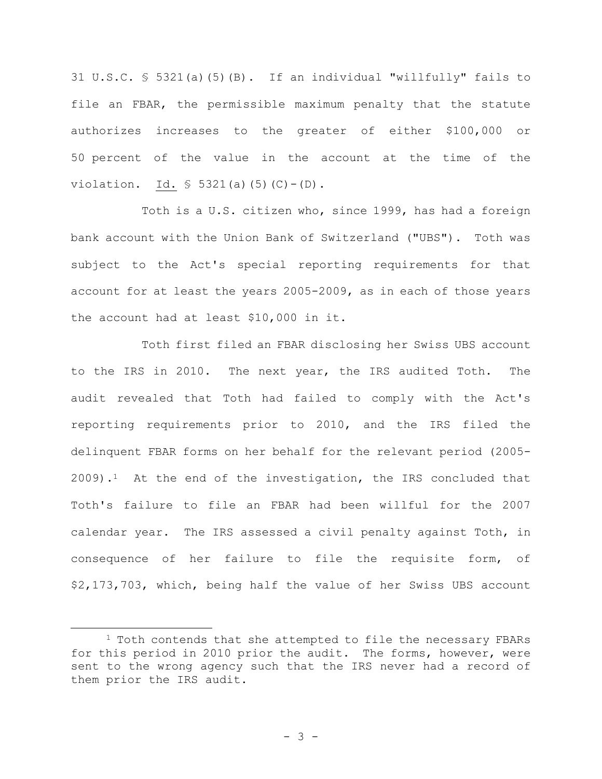31 U.S.C. § 5321(a)(5)(B). If an individual "willfully" fails to file an FBAR, the permissible maximum penalty that the statute authorizes increases to the greater of either \$100,000 or 50 percent of the value in the account at the time of the violation. Id.  $\frac{1}{5}$  5321(a)(5)(C)-(D).

Toth is a U.S. citizen who, since 1999, has had a foreign bank account with the Union Bank of Switzerland ("UBS"). Toth was subject to the Act's special reporting requirements for that account for at least the years 2005-2009, as in each of those years the account had at least \$10,000 in it.

Toth first filed an FBAR disclosing her Swiss UBS account to the IRS in 2010. The next year, the IRS audited Toth. The audit revealed that Toth had failed to comply with the Act's reporting requirements prior to 2010, and the IRS filed the delinquent FBAR forms on her behalf for the relevant period (2005-  $2009$ ).<sup>1</sup> At the end of the investigation, the IRS concluded that Toth's failure to file an FBAR had been willful for the 2007 calendar year. The IRS assessed a civil penalty against Toth, in consequence of her failure to file the requisite form, of \$2,173,703, which, being half the value of her Swiss UBS account

<sup>&</sup>lt;sup>1</sup> Toth contends that she attempted to file the necessary FBARs for this period in 2010 prior the audit. The forms, however, were sent to the wrong agency such that the IRS never had a record of them prior the IRS audit.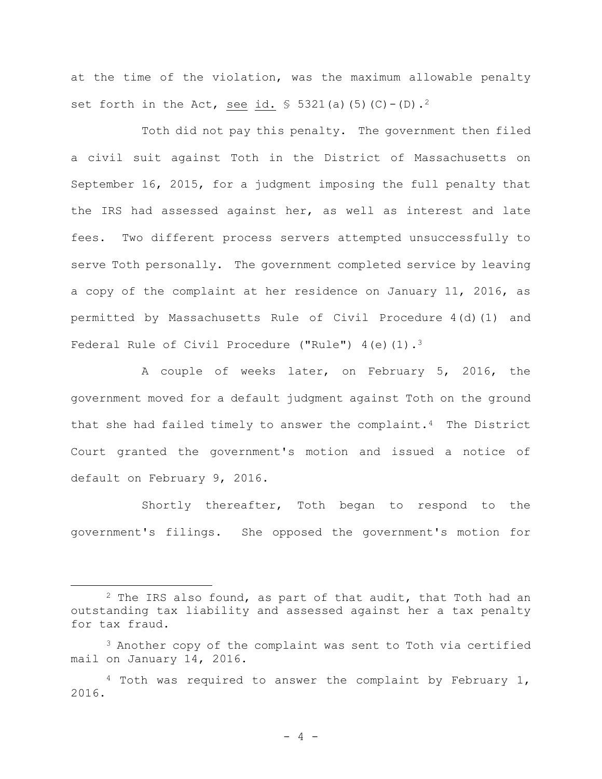at the time of the violation, was the maximum allowable penalty set forth in the Act, see id.  $\frac{1}{5}$  5321(a)(5)(C)-(D).<sup>2</sup>

Toth did not pay this penalty. The government then filed a civil suit against Toth in the District of Massachusetts on September 16, 2015, for a judgment imposing the full penalty that the IRS had assessed against her, as well as interest and late fees. Two different process servers attempted unsuccessfully to serve Toth personally. The government completed service by leaving a copy of the complaint at her residence on January 11, 2016, as permitted by Massachusetts Rule of Civil Procedure 4(d)(1) and Federal Rule of Civil Procedure ("Rule") 4(e)(1).<sup>3</sup>

A couple of weeks later, on February 5, 2016, the government moved for a default judgment against Toth on the ground that she had failed timely to answer the complaint.4 The District Court granted the government's motion and issued a notice of default on February 9, 2016.

Shortly thereafter, Toth began to respond to the government's filings. She opposed the government's motion for

<sup>&</sup>lt;sup>2</sup> The IRS also found, as part of that audit, that Toth had an outstanding tax liability and assessed against her a tax penalty for tax fraud.

 $3$  Another copy of the complaint was sent to Toth via certified mail on January 14, 2016.

<sup>&</sup>lt;sup>4</sup> Toth was required to answer the complaint by February 1, 2016.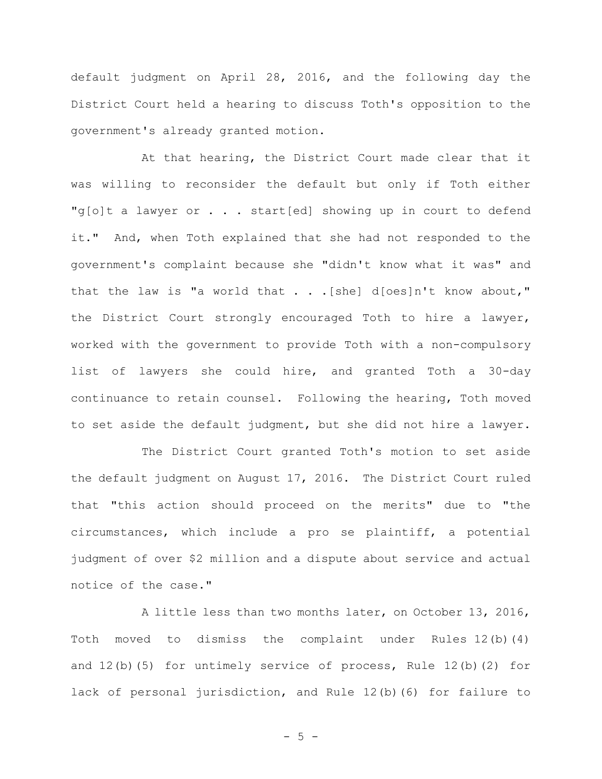default judgment on April 28, 2016, and the following day the District Court held a hearing to discuss Toth's opposition to the government's already granted motion.

At that hearing, the District Court made clear that it was willing to reconsider the default but only if Toth either "g[o]t a lawyer or . . . start[ed] showing up in court to defend it."And, when Toth explained that she had not responded to the government's complaint because she "didn't know what it was" and that the law is "a world that . . .[she] d[oes]n't know about," the District Court strongly encouraged Toth to hire a lawyer, worked with the government to provide Toth with a non-compulsory list of lawyers she could hire, and granted Toth a 30-day continuance to retain counsel. Following the hearing, Toth moved to set aside the default judgment, but she did not hire a lawyer.

The District Court granted Toth's motion to set aside the default judgment on August 17, 2016. The District Court ruled that "this action should proceed on the merits" due to "the circumstances, which include a pro se plaintiff, a potential judgment of over \$2 million and a dispute about service and actual notice of the case."

A little less than two months later, on October 13, 2016, Toth moved to dismiss the complaint under Rules 12(b)(4) and 12(b)(5) for untimely service of process, Rule 12(b)(2) for lack of personal jurisdiction, and Rule 12(b)(6) for failure to

 $- 5 -$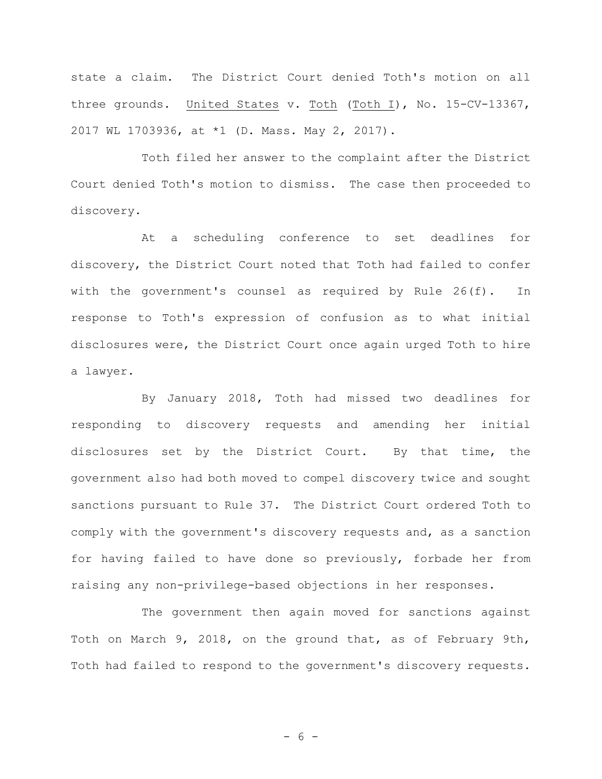state a claim. The District Court denied Toth's motion on all three grounds. United States v. Toth (Toth I), No. 15-CV-13367, 2017 WL 1703936, at \*1 (D. Mass. May 2, 2017).

Toth filed her answer to the complaint after the District Court denied Toth's motion to dismiss. The case then proceeded to discovery.

At a scheduling conference to set deadlines for discovery, the District Court noted that Toth had failed to confer with the government's counsel as required by Rule 26(f). In response to Toth's expression of confusion as to what initial disclosures were, the District Court once again urged Toth to hire a lawyer.

By January 2018, Toth had missed two deadlines for responding to discovery requests and amending her initial disclosures set by the District Court. By that time, the government also had both moved to compel discovery twice and sought sanctions pursuant to Rule 37. The District Court ordered Toth to comply with the government's discovery requests and, as a sanction for having failed to have done so previously, forbade her from raising any non-privilege-based objections in her responses.

The government then again moved for sanctions against Toth on March 9, 2018, on the ground that, as of February 9th, Toth had failed to respond to the government's discovery requests.

- 6 -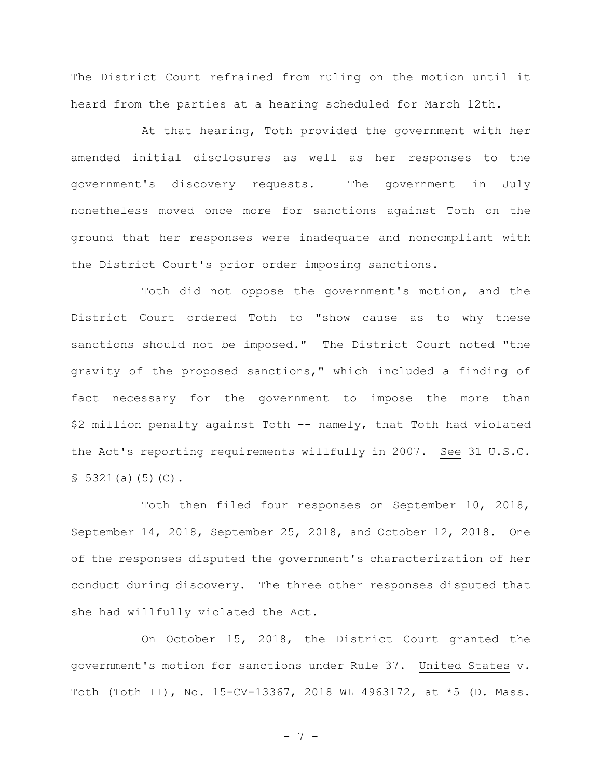The District Court refrained from ruling on the motion until it heard from the parties at a hearing scheduled for March 12th.

At that hearing, Toth provided the government with her amended initial disclosures as well as her responses to the government's discovery requests. The government in July nonetheless moved once more for sanctions against Toth on the ground that her responses were inadequate and noncompliant with the District Court's prior order imposing sanctions.

Toth did not oppose the government's motion, and the District Court ordered Toth to "show cause as to why these sanctions should not be imposed." The District Court noted "the gravity of the proposed sanctions," which included a finding of fact necessary for the government to impose the more than \$2 million penalty against Toth -- namely, that Toth had violated the Act's reporting requirements willfully in 2007. See 31 U.S.C.  $$5321(a)(5)(C).$ 

Toth then filed four responses on September 10, 2018, September 14, 2018, September 25, 2018, and October 12, 2018. One of the responses disputed the government's characterization of her conduct during discovery. The three other responses disputed that she had willfully violated the Act.

On October 15, 2018, the District Court granted the government's motion for sanctions under Rule 37. United States v. Toth (Toth II), No. 15-CV-13367, 2018 WL 4963172, at \*5 (D. Mass.

- 7 -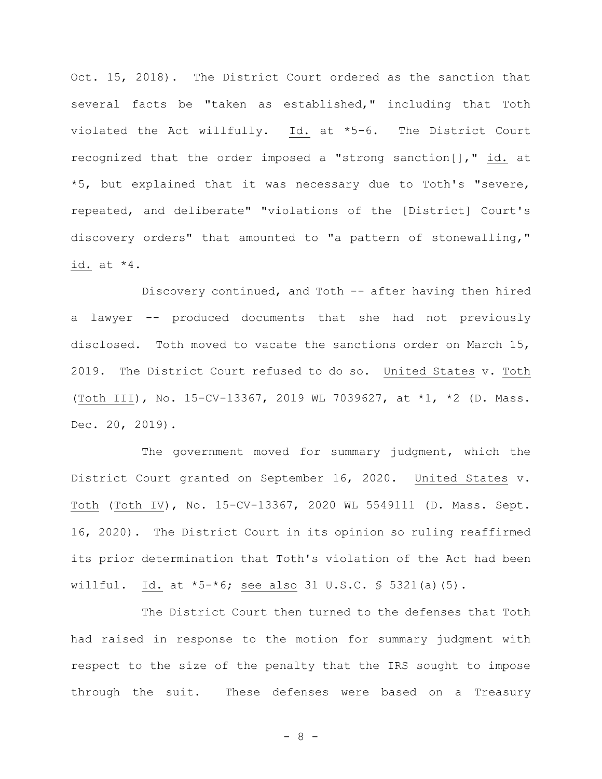Oct. 15, 2018). The District Court ordered as the sanction that several facts be "taken as established," including that Toth violated the Act willfully. Id. at \*5-6. The District Court recognized that the order imposed a "strong sanction[]," id. at \*5, but explained that it was necessary due to Toth's "severe, repeated, and deliberate" "violations of the [District] Court's discovery orders" that amounted to "a pattern of stonewalling," id. at \*4.

Discovery continued, and Toth -- after having then hired a lawyer -- produced documents that she had not previously disclosed. Toth moved to vacate the sanctions order on March 15, 2019. The District Court refused to do so. United States v. Toth (Toth III), No. 15-CV-13367, 2019 WL 7039627, at \*1, \*2 (D. Mass. Dec. 20, 2019).

The government moved for summary judgment, which the District Court granted on September 16, 2020. United States v. Toth (Toth IV), No. 15-CV-13367, 2020 WL 5549111 (D. Mass. Sept. 16, 2020). The District Court in its opinion so ruling reaffirmed its prior determination that Toth's violation of the Act had been willful. Id. at  $*5-*6$ ; see also 31 U.S.C. § 5321(a)(5).

The District Court then turned to the defenses that Toth had raised in response to the motion for summary judgment with respect to the size of the penalty that the IRS sought to impose through the suit. These defenses were based on a Treasury

- 8 -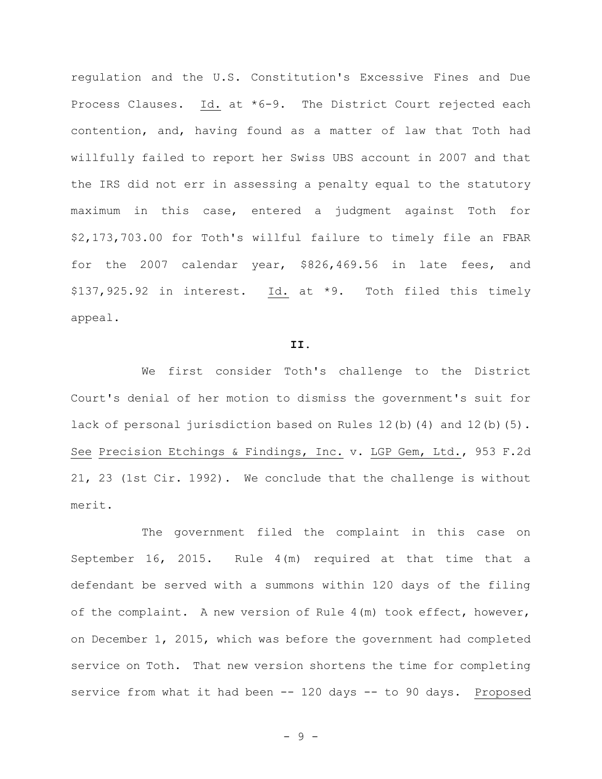regulation and the U.S. Constitution's Excessive Fines and Due Process Clauses. Id. at \*6-9. The District Court rejected each contention, and, having found as a matter of law that Toth had willfully failed to report her Swiss UBS account in 2007 and that the IRS did not err in assessing a penalty equal to the statutory maximum in this case, entered a judgment against Toth for \$2,173,703.00 for Toth's willful failure to timely file an FBAR for the 2007 calendar year, \$826,469.56 in late fees, and \$137,925.92 in interest. Id. at \*9. Toth filed this timely appeal.

#### **II.**

We first consider Toth's challenge to the District Court's denial of her motion to dismiss the government's suit for lack of personal jurisdiction based on Rules 12(b)(4) and 12(b)(5). See Precision Etchings & Findings, Inc. v. LGP Gem, Ltd., 953 F.2d 21, 23 (1st Cir. 1992). We conclude that the challenge is without merit.

The government filed the complaint in this case on September 16, 2015. Rule 4(m) required at that time that a defendant be served with a summons within 120 days of the filing of the complaint. A new version of Rule 4(m) took effect, however, on December 1, 2015, which was before the government had completed service on Toth. That new version shortens the time for completing service from what it had been -- 120 days -- to 90 days. Proposed

- 9 -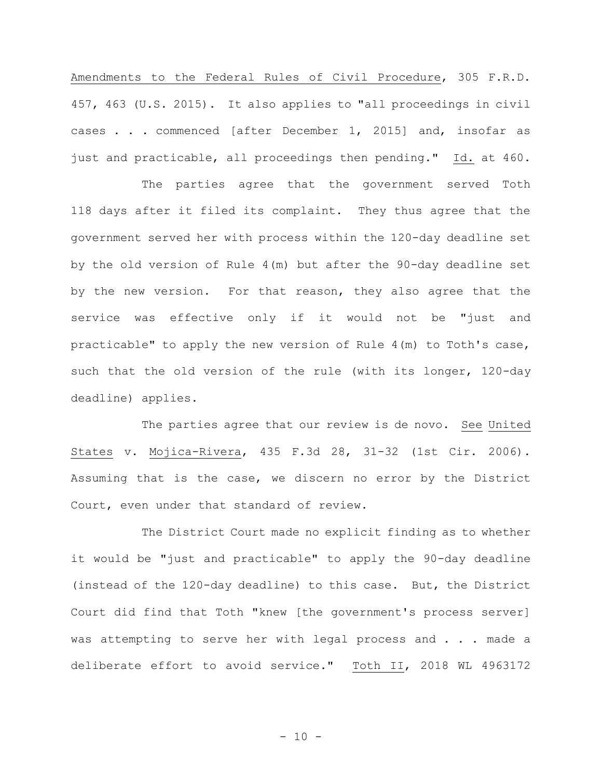Amendments to the Federal Rules of Civil Procedure, 305 F.R.D. 457, 463 (U.S. 2015). It also applies to "all proceedings in civil cases . . . commenced [after December 1, 2015] and, insofar as just and practicable, all proceedings then pending." Id. at 460.

The parties agree that the government served Toth 118 days after it filed its complaint. They thus agree that the government served her with process within the 120-day deadline set by the old version of Rule 4(m) but after the 90-day deadline set by the new version. For that reason, they also agree that the service was effective only if it would not be "just and practicable" to apply the new version of Rule 4(m) to Toth's case, such that the old version of the rule (with its longer, 120-day deadline) applies.

The parties agree that our review is de novo. See United States v. Mojica-Rivera, 435 F.3d 28, 31-32 (1st Cir. 2006). Assuming that is the case, we discern no error by the District Court, even under that standard of review.

The District Court made no explicit finding as to whether it would be "just and practicable" to apply the 90-day deadline (instead of the 120-day deadline) to this case. But, the District Court did find that Toth "knew [the government's process server] was attempting to serve her with legal process and . . . made a deliberate effort to avoid service." Toth II, 2018 WL 4963172

 $- 10 -$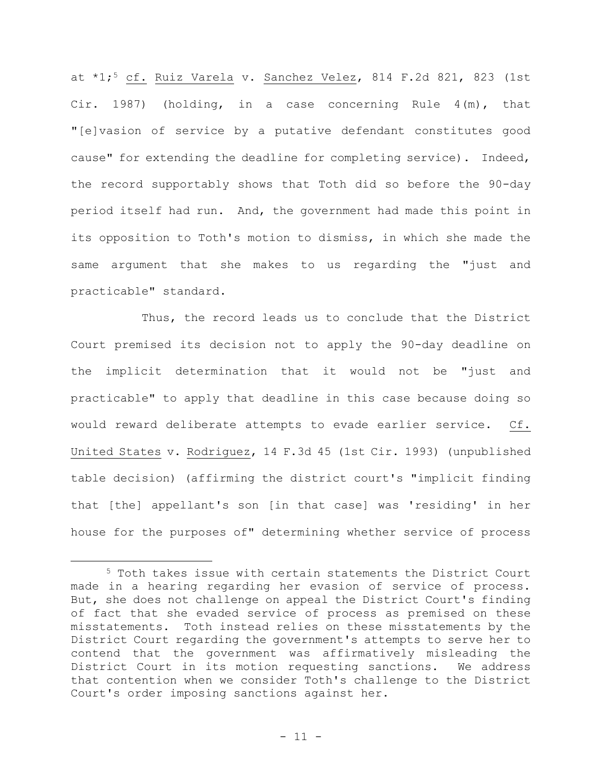at \*1;<sup>5</sup> cf. Ruiz Varela v. Sanchez Velez, 814 F.2d 821, 823 (1st Cir. 1987) (holding, in a case concerning Rule 4(m), that "[e]vasion of service by a putative defendant constitutes good cause" for extending the deadline for completing service). Indeed, the record supportably shows that Toth did so before the 90-day period itself had run. And, the government had made this point in its opposition to Toth's motion to dismiss, in which she made the same argument that she makes to us regarding the "just and practicable" standard.

Thus, the record leads us to conclude that the District Court premised its decision not to apply the 90-day deadline on the implicit determination that it would not be "just and practicable" to apply that deadline in this case because doing so would reward deliberate attempts to evade earlier service. Cf. United States v. Rodriguez, 14 F.3d 45 (1st Cir. 1993) (unpublished table decision) (affirming the district court's "implicit finding that [the] appellant's son [in that case] was 'residing' in her house for the purposes of" determining whether service of process

<sup>5</sup> Toth takes issue with certain statements the District Court made in a hearing regarding her evasion of service of process. But, she does not challenge on appeal the District Court's finding of fact that she evaded service of process as premised on these misstatements. Toth instead relies on these misstatements by the District Court regarding the government's attempts to serve her to contend that the government was affirmatively misleading the District Court in its motion requesting sanctions. We address that contention when we consider Toth's challenge to the District Court's order imposing sanctions against her.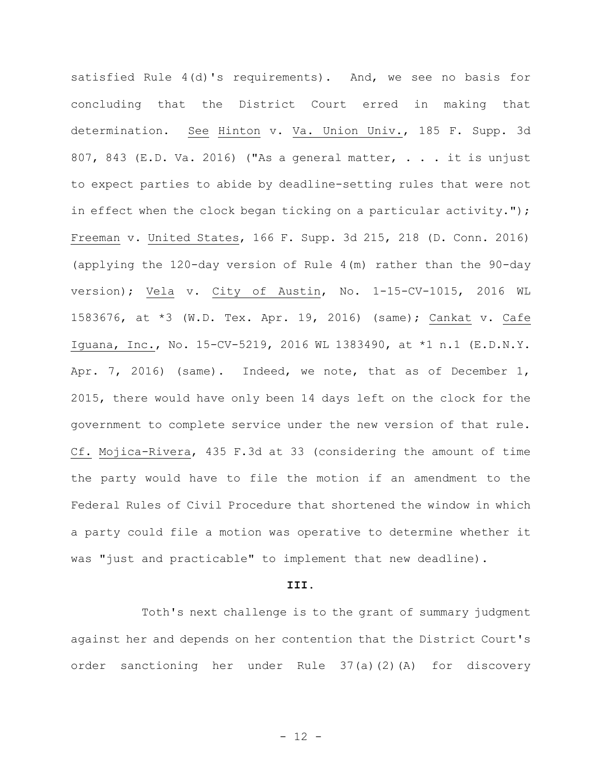satisfied Rule 4(d)'s requirements). And, we see no basis for concluding that the District Court erred in making that determination. See Hinton v. Va. Union Univ., 185 F. Supp. 3d 807, 843 (E.D. Va. 2016) ("As a general matter,  $\ldots$  it is unjust to expect parties to abide by deadline-setting rules that were not in effect when the clock began ticking on a particular activity."); Freeman v. United States, 166 F. Supp. 3d 215, 218 (D. Conn. 2016) (applying the 120-day version of Rule 4(m) rather than the 90-day version); Vela v. City of Austin, No. 1-15-CV-1015, 2016 WL 1583676, at \*3 (W.D. Tex. Apr. 19, 2016) (same); Cankat v. Cafe Iguana, Inc., No. 15-CV-5219, 2016 WL 1383490, at \*1 n.1 (E.D.N.Y. Apr. 7, 2016) (same). Indeed, we note, that as of December 1, 2015, there would have only been 14 days left on the clock for the government to complete service under the new version of that rule. Cf. Mojica-Rivera, 435 F.3d at 33 (considering the amount of time the party would have to file the motion if an amendment to the Federal Rules of Civil Procedure that shortened the window in which a party could file a motion was operative to determine whether it was "just and practicable" to implement that new deadline).

#### **III.**

Toth's next challenge is to the grant of summary judgment against her and depends on her contention that the District Court's order sanctioning her under Rule 37(a)(2)(A) for discovery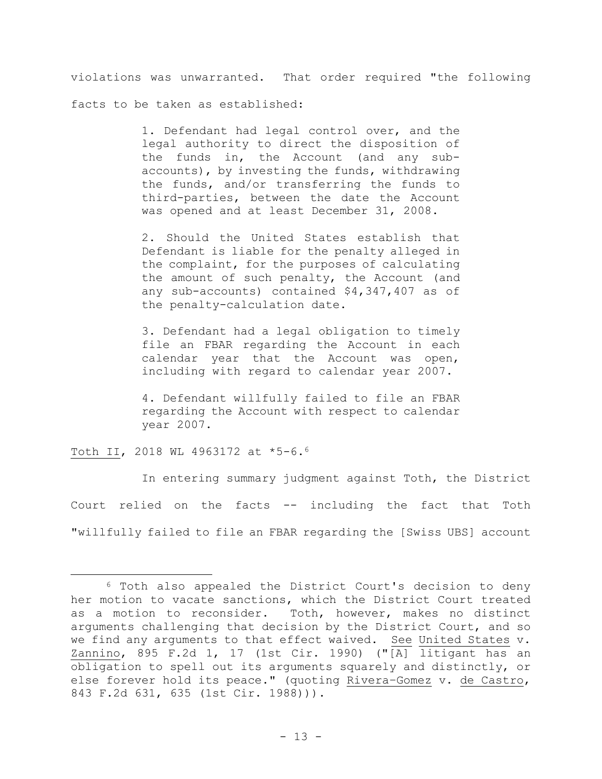violations was unwarranted.That order required "the following

facts to be taken as established:

1. Defendant had legal control over, and the legal authority to direct the disposition of the funds in, the Account (and any subaccounts), by investing the funds, withdrawing the funds, and/or transferring the funds to third-parties, between the date the Account was opened and at least December 31, 2008.

2. Should the United States establish that Defendant is liable for the penalty alleged in the complaint, for the purposes of calculating the amount of such penalty, the Account (and any sub-accounts) contained \$4,347,407 as of the penalty-calculation date.

3. Defendant had a legal obligation to timely file an FBAR regarding the Account in each calendar year that the Account was open, including with regard to calendar year 2007.

4. Defendant willfully failed to file an FBAR regarding the Account with respect to calendar year 2007.

Toth II, 2018 WL 4963172 at \*5-6.<sup>6</sup>

In entering summary judgment against Toth, the District Court relied on the facts -- including the fact that Toth "willfully failed to file an FBAR regarding the [Swiss UBS] account

<sup>6</sup> Toth also appealed the District Court's decision to deny her motion to vacate sanctions, which the District Court treated as a motion to reconsider. Toth, however, makes no distinct arguments challenging that decision by the District Court, and so we find any arguments to that effect waived. See United States v. Zannino, 895 F.2d 1, 17 (1st Cir. 1990) ("[A] litigant has an obligation to spell out its arguments squarely and distinctly, or else forever hold its peace." (quoting Rivera–Gomez v. de Castro, 843 F.2d 631, 635 (1st Cir. 1988))).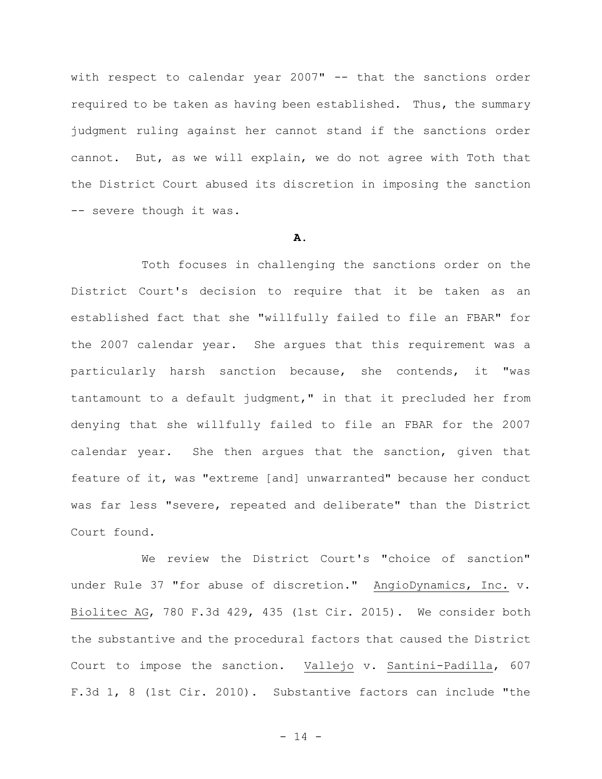with respect to calendar year 2007" -- that the sanctions order required to be taken as having been established. Thus, the summary judgment ruling against her cannot stand if the sanctions order cannot. But, as we will explain, we do not agree with Toth that the District Court abused its discretion in imposing the sanction -- severe though it was.

# **A.**

Toth focuses in challenging the sanctions order on the District Court's decision to require that it be taken as an established fact that she "willfully failed to file an FBAR" for the 2007 calendar year. She argues that this requirement was a particularly harsh sanction because, she contends, it "was tantamount to a default judgment," in that it precluded her from denying that she willfully failed to file an FBAR for the 2007 calendar year. She then argues that the sanction, given that feature of it, was "extreme [and] unwarranted" because her conduct was far less "severe, repeated and deliberate" than the District Court found.

We review the District Court's "choice of sanction" under Rule 37 "for abuse of discretion." AngioDynamics, Inc. v. Biolitec AG, 780 F.3d 429, 435 (1st Cir. 2015). We consider both the substantive and the procedural factors that caused the District Court to impose the sanction. Vallejo v. Santini-Padilla, 607 F.3d 1, 8 (1st Cir. 2010). Substantive factors can include "the

- 14 -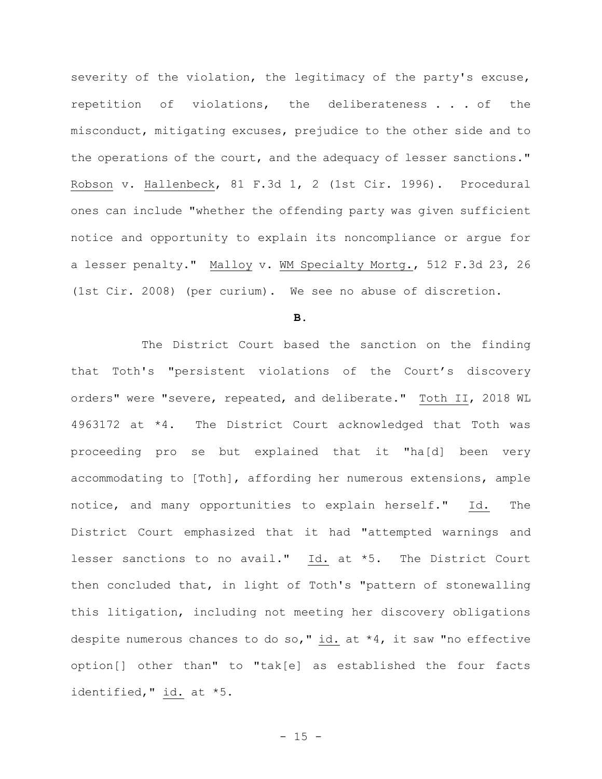severity of the violation, the legitimacy of the party's excuse, repetition of violations, the deliberateness . . . of the misconduct, mitigating excuses, prejudice to the other side and to the operations of the court, and the adequacy of lesser sanctions." Robson v. Hallenbeck, 81 F.3d 1, 2 (1st Cir. 1996). Procedural ones can include "whether the offending party was given sufficient notice and opportunity to explain its noncompliance or argue for a lesser penalty." Malloy v. WM Specialty Mortg., 512 F.3d 23, 26 (1st Cir. 2008) (per curium). We see no abuse of discretion.

**B.**

The District Court based the sanction on the finding that Toth's "persistent violations of the Court's discovery orders" were "severe, repeated, and deliberate." Toth II, 2018 WL 4963172 at \*4. The District Court acknowledged that Toth was proceeding pro se but explained that it "ha[d] been very accommodating to [Toth], affording her numerous extensions, ample notice, and many opportunities to explain herself." Id. The District Court emphasized that it had "attempted warnings and lesser sanctions to no avail." Id. at \*5. The District Court then concluded that, in light of Toth's "pattern of stonewalling this litigation, including not meeting her discovery obligations despite numerous chances to do so," id. at \*4, it saw "no effective option[] other than" to "tak[e] as established the four facts identified," id. at \*5.

 $- 15 -$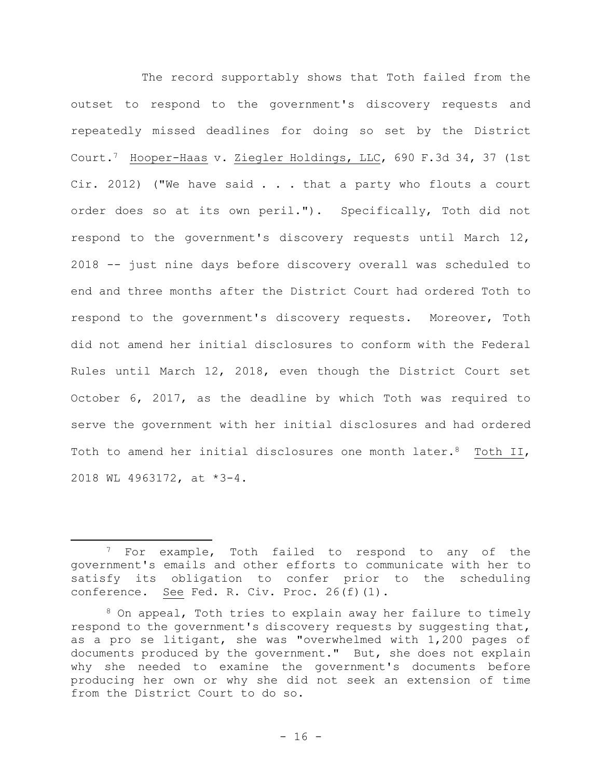The record supportably shows that Toth failed from the outset to respond to the government's discovery requests and repeatedly missed deadlines for doing so set by the District Court.7 Hooper-Haas v. Ziegler Holdings, LLC, 690 F.3d 34, 37 (1st Cir. 2012) ("We have said . . . that a party who flouts a court order does so at its own peril."). Specifically, Toth did not respond to the government's discovery requests until March 12, 2018 -- just nine days before discovery overall was scheduled to end and three months after the District Court had ordered Toth to respond to the government's discovery requests. Moreover, Toth did not amend her initial disclosures to conform with the Federal Rules until March 12, 2018, even though the District Court set October 6, 2017, as the deadline by which Toth was required to serve the government with her initial disclosures and had ordered Toth to amend her initial disclosures one month later.<sup>8</sup> Toth II, 2018 WL 4963172, at \*3-4.

<sup>&</sup>lt;sup>7</sup> For example, Toth failed to respond to any of the government's emails and other efforts to communicate with her to satisfy its obligation to confer prior to the scheduling conference. See Fed. R. Civ. Proc. 26(f)(1).

<sup>8</sup> On appeal, Toth tries to explain away her failure to timely respond to the government's discovery requests by suggesting that, as a pro se litigant, she was "overwhelmed with 1,200 pages of documents produced by the government." But, she does not explain why she needed to examine the government's documents before producing her own or why she did not seek an extension of time from the District Court to do so.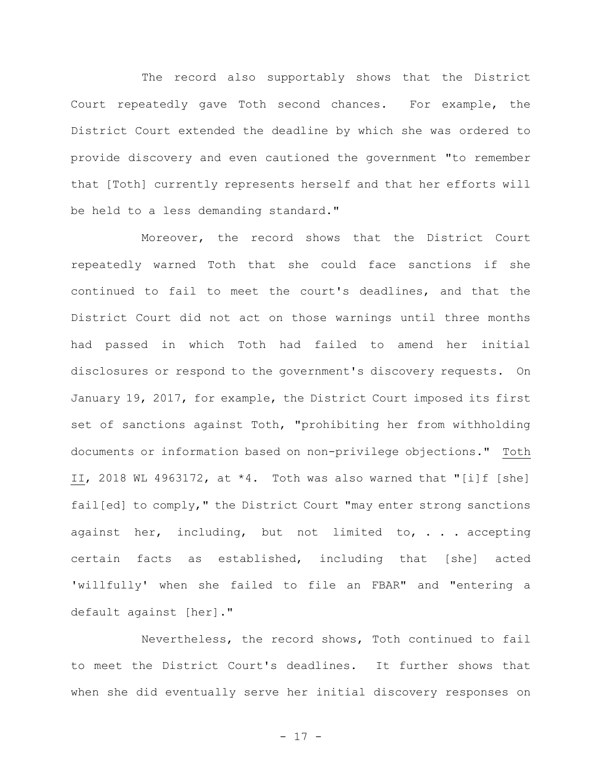The record also supportably shows that the District Court repeatedly gave Toth second chances. For example, the District Court extended the deadline by which she was ordered to provide discovery and even cautioned the government "to remember that [Toth] currently represents herself and that her efforts will be held to a less demanding standard."

Moreover, the record shows that the District Court repeatedly warned Toth that she could face sanctions if she continued to fail to meet the court's deadlines, and that the District Court did not act on those warnings until three months had passed in which Toth had failed to amend her initial disclosures or respond to the government's discovery requests. On January 19, 2017, for example, the District Court imposed its first set of sanctions against Toth, "prohibiting her from withholding documents or information based on non-privilege objections**."** Toth II, 2018 WL 4963172, at \*4. Toth was also warned that "[i]f [she] fail[ed] to comply," the District Court "may enter strong sanctions against her, including, but not limited to, . . . accepting certain facts as established, including that [she] acted 'willfully' when she failed to file an FBAR" and "entering a default against [her]."

Nevertheless, the record shows, Toth continued to fail to meet the District Court's deadlines. It further shows that when she did eventually serve her initial discovery responses on

- 17 -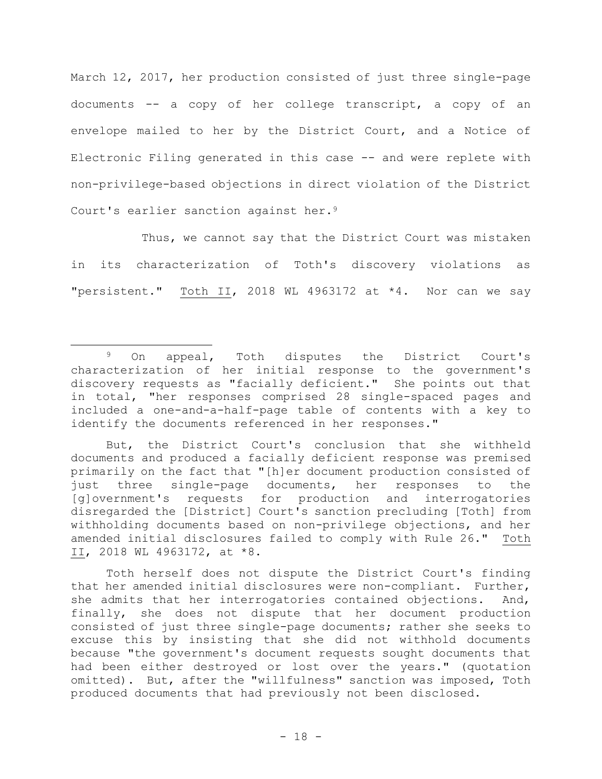March 12, 2017, her production consisted of just three single-page documents -- a copy of her college transcript, a copy of an envelope mailed to her by the District Court, and a Notice of Electronic Filing generated in this case -- and were replete with non-privilege-based objections in direct violation of the District Court's earlier sanction against her.<sup>9</sup>

Thus, we cannot say that the District Court was mistaken in its characterization of Toth's discovery violations as "persistent." Toth II, 2018 WL 4963172 at \*4. Nor can we say

Toth herself does not dispute the District Court's finding that her amended initial disclosures were non-compliant. Further, she admits that her interrogatories contained objections. And, finally, she does not dispute that her document production consisted of just three single-page documents; rather she seeks to excuse this by insisting that she did not withhold documents because "the government's document requests sought documents that had been either destroyed or lost over the years." (quotation omitted).But, after the "willfulness" sanction was imposed, Toth produced documents that had previously not been disclosed.

<sup>9</sup> On appeal, Toth disputes the District Court's characterization of her initial response to the government's discovery requests as "facially deficient." She points out that in total, "her responses comprised 28 single-spaced pages and included a one-and-a-half-page table of contents with a key to identify the documents referenced in her responses."

But, the District Court's conclusion that she withheld documents and produced a facially deficient response was premised primarily on the fact that "[h]er document production consisted of just three single-page documents, her responses to the [g]overnment's requests for production and interrogatories disregarded the [District] Court's sanction precluding [Toth] from withholding documents based on non-privilege objections, and her amended initial disclosures failed to comply with Rule 26." Toth II, 2018 WL 4963172, at \*8.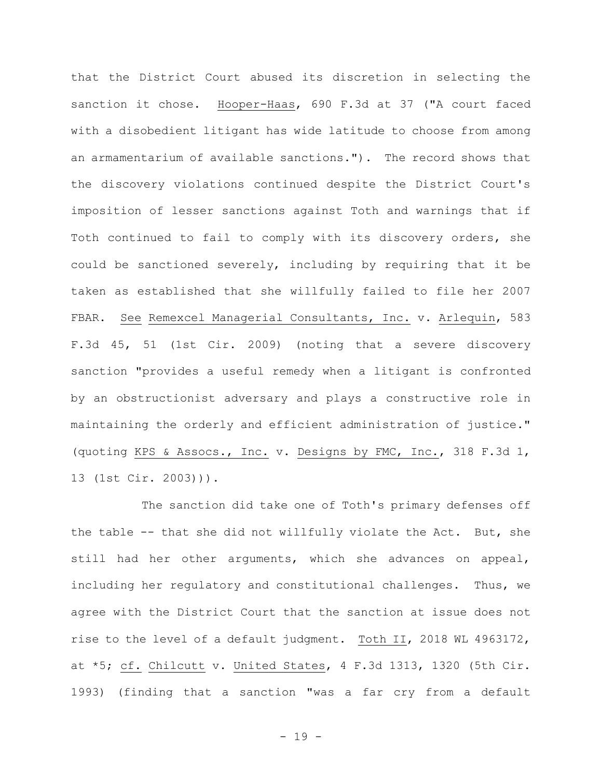that the District Court abused its discretion in selecting the sanction it chose. Hooper-Haas, 690 F.3d at 37 ("A court faced with a disobedient litigant has wide latitude to choose from among an armamentarium of available sanctions."). The record shows that the discovery violations continued despite the District Court's imposition of lesser sanctions against Toth and warnings that if Toth continued to fail to comply with its discovery orders, she could be sanctioned severely, including by requiring that it be taken as established that she willfully failed to file her 2007 FBAR. See Remexcel Managerial Consultants, Inc. v. Arlequin, 583 F.3d 45, 51 (1st Cir. 2009) (noting that a severe discovery sanction "provides a useful remedy when a litigant is confronted by an obstructionist adversary and plays a constructive role in maintaining the orderly and efficient administration of justice." (quoting KPS & Assocs., Inc. v. Designs by FMC, Inc., 318 F.3d 1, 13 (1st Cir. 2003))).

The sanction did take one of Toth's primary defenses off the table -- that she did not willfully violate the Act. But, she still had her other arguments, which she advances on appeal, including her regulatory and constitutional challenges. Thus, we agree with the District Court that the sanction at issue does not rise to the level of a default judgment. Toth II, 2018 WL 4963172, at \*5; cf. Chilcutt v. United States, 4 F.3d 1313, 1320 (5th Cir. 1993) (finding that a sanction "was a far cry from a default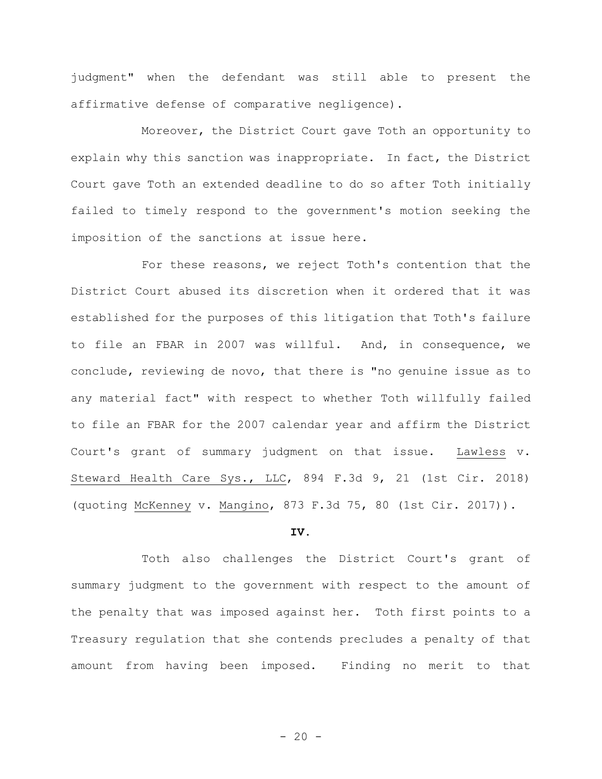judgment" when the defendant was still able to present the affirmative defense of comparative negligence).

Moreover, the District Court gave Toth an opportunity to explain why this sanction was inappropriate. In fact, the District Court gave Toth an extended deadline to do so after Toth initially failed to timely respond to the government's motion seeking the imposition of the sanctions at issue here.

For these reasons, we reject Toth's contention that the District Court abused its discretion when it ordered that it was established for the purposes of this litigation that Toth's failure to file an FBAR in 2007 was willful. And, in consequence, we conclude, reviewing de novo, that there is "no genuine issue as to any material fact" with respect to whether Toth willfully failed to file an FBAR for the 2007 calendar year and affirm the District Court's grant of summary judgment on that issue. Lawless v. Steward Health Care Sys., LLC, 894 F.3d 9, 21 (1st Cir. 2018) (quoting McKenney v. Mangino, 873 F.3d 75, 80 (1st Cir. 2017)).

#### **IV.**

Toth also challenges the District Court's grant of summary judgment to the government with respect to the amount of the penalty that was imposed against her. Toth first points to a Treasury regulation that she contends precludes a penalty of that amount from having been imposed. Finding no merit to that

 $- 20 -$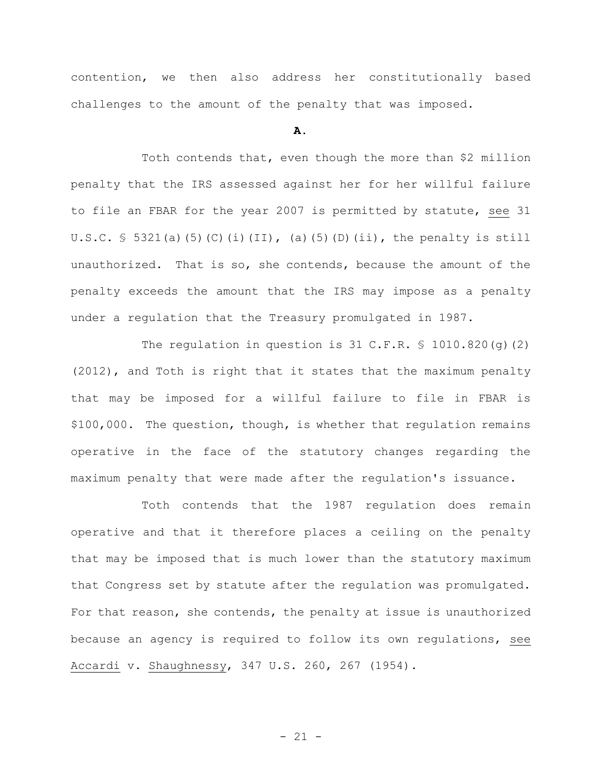contention, we then also address her constitutionally based challenges to the amount of the penalty that was imposed.

## **A.**

Toth contends that, even though the more than \$2 million penalty that the IRS assessed against her for her willful failure to file an FBAR for the year 2007 is permitted by statute, see 31 U.S.C.  $\frac{1}{5}$  5321(a)(5)(C)(i)(II),(a)(5)(D)(ii), the penalty is still unauthorized. That is so, she contends, because the amount of the penalty exceeds the amount that the IRS may impose as a penalty under a regulation that the Treasury promulgated in 1987.

The regulation in question is 31 C.F.R.  $\frac{1}{5}$  1010.820(q)(2) (2012), and Toth is right that it states that the maximum penalty that may be imposed for a willful failure to file in FBAR is \$100,000. The question, though, is whether that regulation remains operative in the face of the statutory changes regarding the maximum penalty that were made after the regulation's issuance.

Toth contends that the 1987 regulation does remain operative and that it therefore places a ceiling on the penalty that may be imposed that is much lower than the statutory maximum that Congress set by statute after the regulation was promulgated. For that reason, she contends, the penalty at issue is unauthorized because an agency is required to follow its own regulations, see Accardi v. Shaughnessy, 347 U.S. 260, 267 (1954).

- 21 -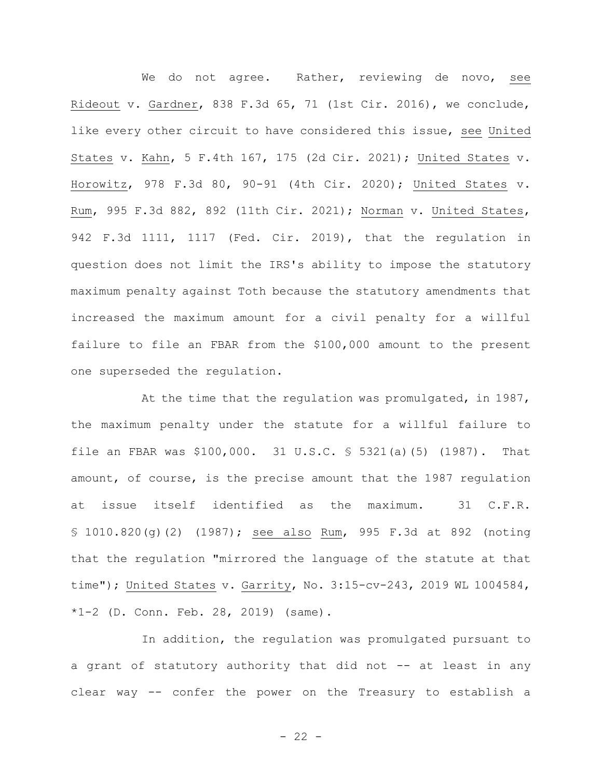We do not agree. Rather, reviewing de novo, see Rideout v. Gardner, 838 F.3d 65, 71 (1st Cir. 2016), we conclude, like every other circuit to have considered this issue, see United States v. Kahn, 5 F.4th 167, 175 (2d Cir. 2021); United States v. Horowitz, 978 F.3d 80, 90-91 (4th Cir. 2020); United States v. Rum, 995 F.3d 882, 892 (11th Cir. 2021); Norman v. United States, 942 F.3d 1111, 1117 (Fed. Cir. 2019), that the regulation in question does not limit the IRS's ability to impose the statutory maximum penalty against Toth because the statutory amendments that increased the maximum amount for a civil penalty for a willful failure to file an FBAR from the \$100,000 amount to the present one superseded the regulation.

At the time that the regulation was promulgated, in 1987, the maximum penalty under the statute for a willful failure to file an FBAR was \$100,000. 31 U.S.C. § 5321(a)(5) (1987). That amount, of course, is the precise amount that the 1987 regulation at issue itself identified as the maximum. 31 C.F.R. § 1010.820(g)(2) (1987); see also Rum, 995 F.3d at 892 (noting that the regulation "mirrored the language of the statute at that time"); United States v. Garrity, No. 3:15-cv-243, 2019 WL 1004584,  $*1-2$  (D. Conn. Feb. 28, 2019) (same).

In addition, the regulation was promulgated pursuant to a grant of statutory authority that did not -- at least in any clear way -- confer the power on the Treasury to establish a

 $- 22 -$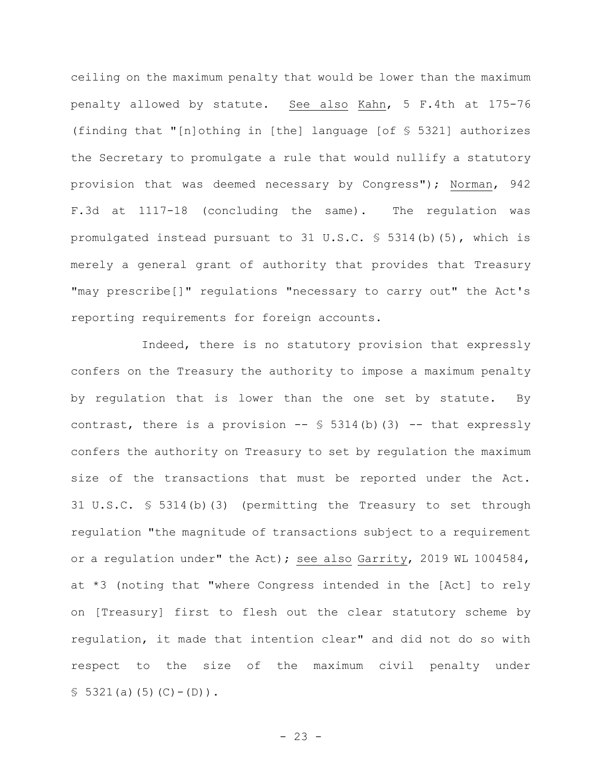ceiling on the maximum penalty that would be lower than the maximum penalty allowed by statute. See also Kahn, 5 F.4th at 175-76 (finding that "[n]othing in [the] language [of § 5321] authorizes the Secretary to promulgate a rule that would nullify a statutory provision that was deemed necessary by Congress"); Norman, 942 F.3d at 1117-18 (concluding the same). The regulation was promulgated instead pursuant to 31 U.S.C. § 5314(b)(5), which is merely a general grant of authority that provides that Treasury "may prescribe[]" regulations "necessary to carry out" the Act's reporting requirements for foreign accounts.

Indeed, there is no statutory provision that expressly confers on the Treasury the authority to impose a maximum penalty by regulation that is lower than the one set by statute. By contrast, there is a provision  $--$  \$ 5314(b)(3) -- that expressly confers the authority on Treasury to set by regulation the maximum size of the transactions that must be reported under the Act. 31 U.S.C. § 5314(b)(3) (permitting the Treasury to set through regulation "the magnitude of transactions subject to a requirement or a regulation under" the Act); see also Garrity, 2019 WL 1004584, at \*3 (noting that "where Congress intended in the [Act] to rely on [Treasury] first to flesh out the clear statutory scheme by regulation, it made that intention clear" and did not do so with respect to the size of the maximum civil penalty under  $$5321(a)(5)(C)-(D)$ .

 $- 23 -$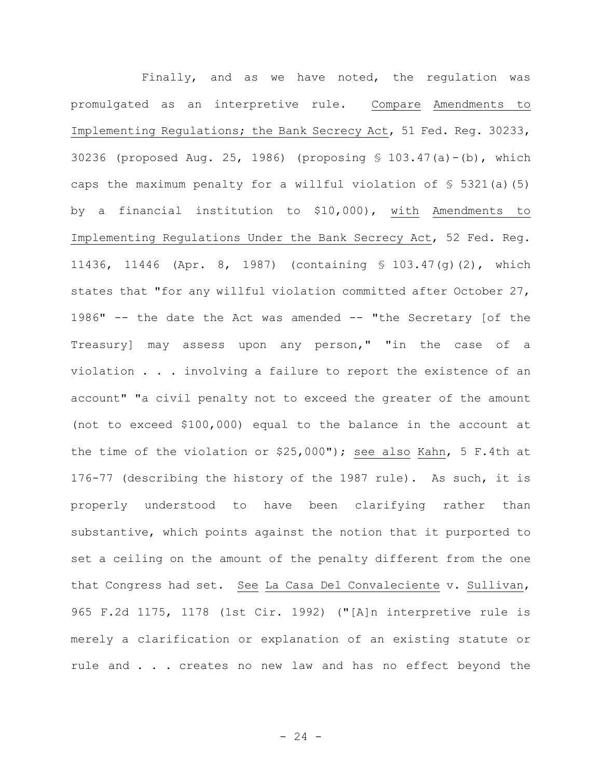Finally, and as we have noted, the regulation was promulgated as an interpretive rule. Compare Amendments to Implementing Regulations; the Bank Secrecy Act, 51 Fed. Reg. 30233, 30236 (proposed Aug. 25, 1986) (proposing § 103.47(a)-(b), which caps the maximum penalty for a willful violation of  $\S$  5321(a)(5) by a financial institution to \$10,000), with Amendments to Implementing Regulations Under the Bank Secrecy Act, 52 Fed. Reg. 11436, 11446 (Apr. 8, 1987) (containing § 103.47(g)(2), which states that "for any willful violation committed after October 27, 1986" -- the date the Act was amended -- "the Secretary [of the Treasury] may assess upon any person," "in the case of a violation . . . involving a failure to report the existence of an account" "a civil penalty not to exceed the greater of the amount (not to exceed \$100,000) equal to the balance in the account at the time of the violation or \$25,000"); see also Kahn, 5 F.4th at 176-77 (describing the history of the 1987 rule). As such, it is properly understood to have been clarifying rather than substantive, which points against the notion that it purported to set a ceiling on the amount of the penalty different from the one that Congress had set. See La Casa Del Convaleciente v. Sullivan, 965 F.2d 1175, 1178 (1st Cir. 1992) ("[A]n interpretive rule is merely a clarification or explanation of an existing statute or rule and . . . creates no new law and has no effect beyond the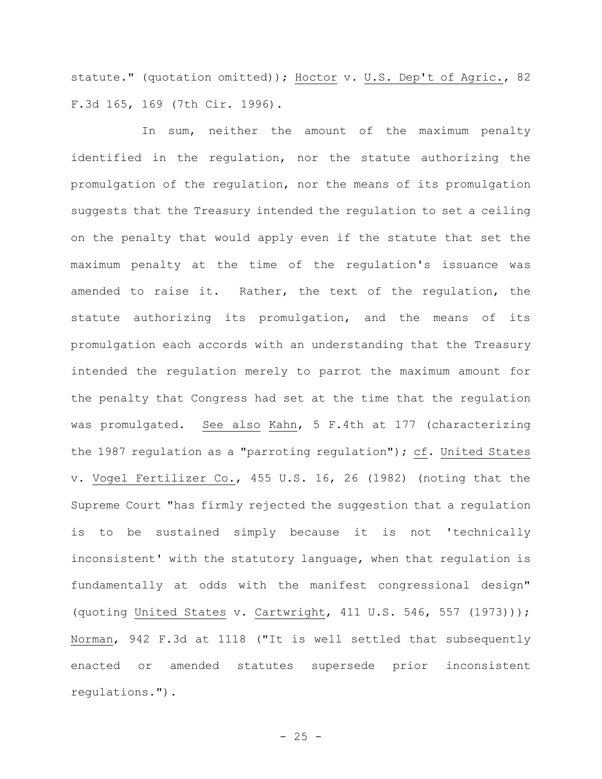statute." (quotation omitted)); Hoctor v. U.S. Dep't of Agric., 82 F.3d 165, 169 (7th Cir. 1996).

In sum, neither the amount of the maximum penalty identified in the regulation, nor the statute authorizing the promulgation of the regulation, nor the means of its promulgation suggests that the Treasury intended the regulation to set a ceiling on the penalty that would apply even if the statute that set the maximum penalty at the time of the regulation's issuance was amended to raise it. Rather, the text of the regulation, the statute authorizing its promulgation, and the means of its promulgation each accords with an understanding that the Treasury intended the regulation merely to parrot the maximum amount for the penalty that Congress had set at the time that the regulation was promulgated. See also Kahn, 5 F.4th at 177 (characterizing the 1987 regulation as a "parroting regulation"); cf. United States v. Vogel Fertilizer Co., 455 U.S. 16, 26 (1982) (noting that the Supreme Court "has firmly rejected the suggestion that a regulation is to be sustained simply because it is not 'technically inconsistent' with the statutory language, when that regulation is fundamentally at odds with the manifest congressional design" (quoting United States v. Cartwright, 411 U.S. 546, 557 (1973))); Norman, 942 F.3d at 1118 ("It is well settled that subsequently enacted or amended statutes supersede prior inconsistent regulations.").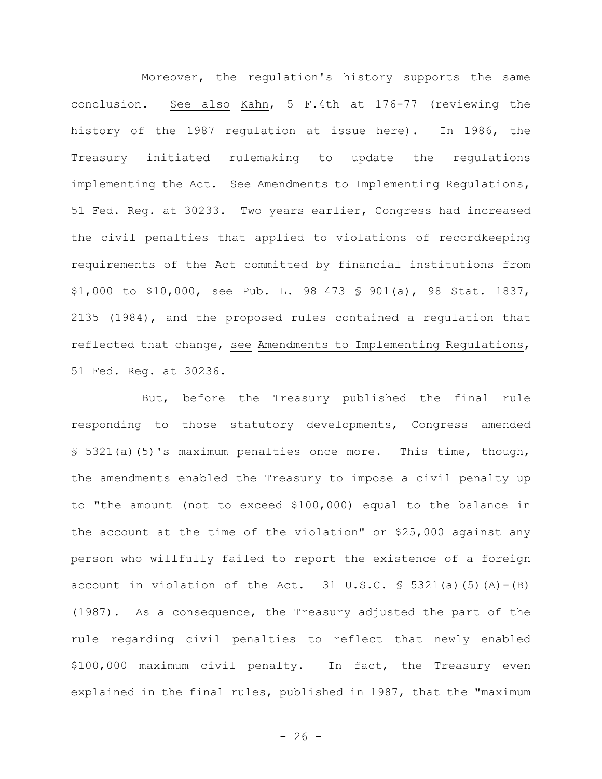Moreover, the regulation's history supports the same conclusion. See also Kahn, 5 F.4th at 176-77 (reviewing the history of the 1987 regulation at issue here). In 1986, the Treasury initiated rulemaking to update the regulations implementing the Act. See Amendments to Implementing Regulations, 51 Fed. Reg. at 30233. Two years earlier, Congress had increased the civil penalties that applied to violations of recordkeeping requirements of the Act committed by financial institutions from \$1,000 to \$10,000, see Pub. L. 98–473 § 901(a), 98 Stat. 1837, 2135 (1984), and the proposed rules contained a regulation that reflected that change, see Amendments to Implementing Regulations, 51 Fed. Reg. at 30236.

But, before the Treasury published the final rule responding to those statutory developments, Congress amended § 5321(a)(5)'s maximum penalties once more. This time, though, the amendments enabled the Treasury to impose a civil penalty up to "the amount (not to exceed \$100,000) equal to the balance in the account at the time of the violation" or \$25,000 against any person who willfully failed to report the existence of a foreign account in violation of the Act. 31 U.S.C.  $\frac{1}{5}$  5321(a)(5)(A)-(B) (1987). As a consequence, the Treasury adjusted the part of the rule regarding civil penalties to reflect that newly enabled \$100,000 maximum civil penalty. In fact, the Treasury even explained in the final rules, published in 1987, that the "maximum

 $- 26 -$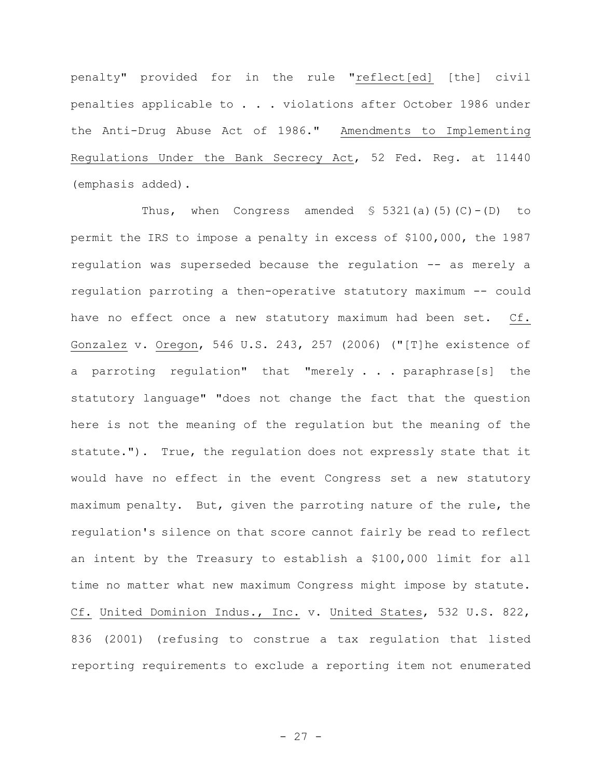penalty" provided for in the rule "reflect[ed] [the] civil penalties applicable to . . . violations after October 1986 under the Anti-Drug Abuse Act of 1986." Amendments to Implementing Regulations Under the Bank Secrecy Act, 52 Fed. Reg. at 11440 (emphasis added).

Thus, when Congress amended  $\S$  5321(a)(5)(C)-(D) to permit the IRS to impose a penalty in excess of \$100,000, the 1987 regulation was superseded because the regulation -- as merely a regulation parroting a then-operative statutory maximum -- could have no effect once a new statutory maximum had been set. Cf. Gonzalez v. Oregon, 546 U.S. 243, 257 (2006) ("[T]he existence of a parroting regulation" that "merely . . . paraphrase[s] the statutory language" "does not change the fact that the question here is not the meaning of the regulation but the meaning of the statute."). True, the regulation does not expressly state that it would have no effect in the event Congress set a new statutory maximum penalty. But, given the parroting nature of the rule, the regulation's silence on that score cannot fairly be read to reflect an intent by the Treasury to establish a \$100,000 limit for all time no matter what new maximum Congress might impose by statute. Cf. United Dominion Indus., Inc. v. United States, 532 U.S. 822, 836 (2001) (refusing to construe a tax regulation that listed reporting requirements to exclude a reporting item not enumerated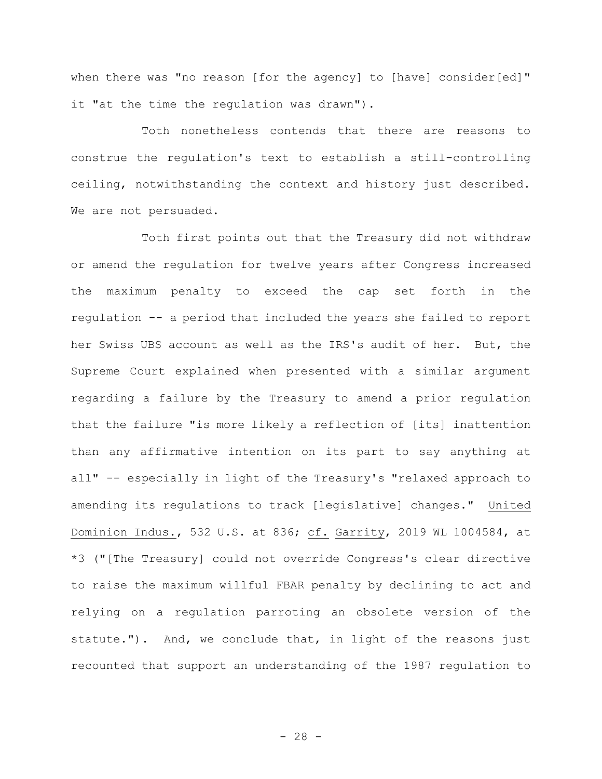when there was "no reason [for the agency] to [have] consider[ed]" it "at the time the regulation was drawn").

Toth nonetheless contends that there are reasons to construe the regulation's text to establish a still-controlling ceiling, notwithstanding the context and history just described. We are not persuaded.

Toth first points out that the Treasury did not withdraw or amend the regulation for twelve years after Congress increased the maximum penalty to exceed the cap set forth in the regulation -- a period that included the years she failed to report her Swiss UBS account as well as the IRS's audit of her. But, the Supreme Court explained when presented with a similar argument regarding a failure by the Treasury to amend a prior regulation that the failure "is more likely a reflection of [its] inattention than any affirmative intention on its part to say anything at all" -- especially in light of the Treasury's "relaxed approach to amending its regulations to track [legislative] changes." United Dominion Indus., 532 U.S. at 836; cf. Garrity, 2019 WL 1004584, at \*3 ("[The Treasury] could not override Congress's clear directive to raise the maximum willful FBAR penalty by declining to act and relying on a regulation parroting an obsolete version of the statute."). And, we conclude that, in light of the reasons just recounted that support an understanding of the 1987 regulation to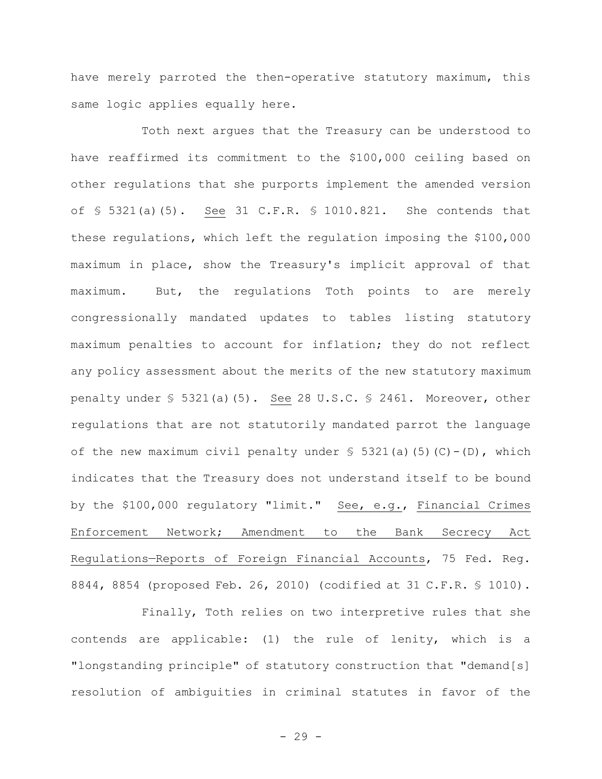have merely parroted the then-operative statutory maximum, this same logic applies equally here.

Toth next argues that the Treasury can be understood to have reaffirmed its commitment to the \$100,000 ceiling based on other regulations that she purports implement the amended version of § 5321(a)(5). See 31 C.F.R. § 1010.821. She contends that these regulations, which left the regulation imposing the \$100,000 maximum in place, show the Treasury's implicit approval of that maximum. But, the regulations Toth points to are merely congressionally mandated updates to tables listing statutory maximum penalties to account for inflation; they do not reflect any policy assessment about the merits of the new statutory maximum penalty under § 5321(a)(5). See 28 U.S.C. § 2461. Moreover, other regulations that are not statutorily mandated parrot the language of the new maximum civil penalty under  $\frac{1}{5}$  5321(a)(5)(C)-(D), which indicates that the Treasury does not understand itself to be bound by the \$100,000 regulatory "limit." See, e.g., Financial Crimes Enforcement Network; Amendment to the Bank Secrecy Act Regulations—Reports of Foreign Financial Accounts, 75 Fed. Reg. 8844, 8854 (proposed Feb. 26, 2010) (codified at 31 C.F.R. § 1010).

Finally, Toth relies on two interpretive rules that she contends are applicable: (1) the rule of lenity, which is a "longstanding principle" of statutory construction that "demand[s] resolution of ambiguities in criminal statutes in favor of the

- 29 -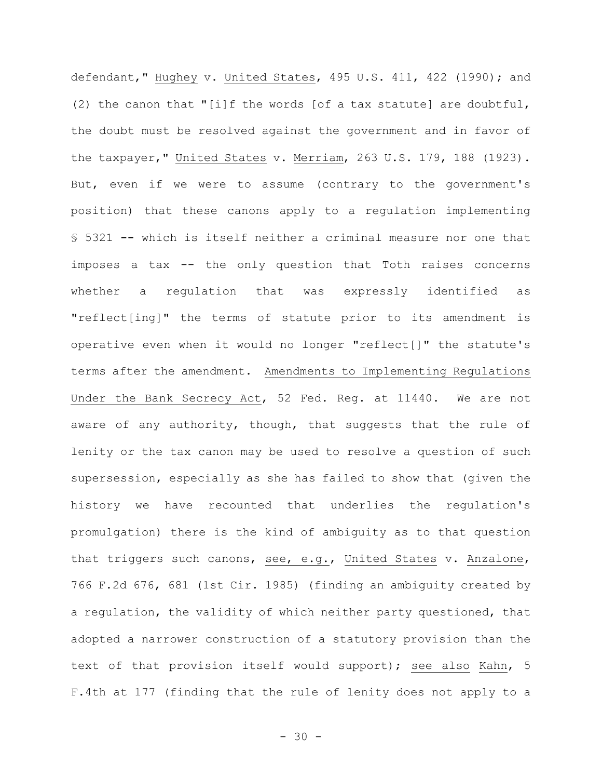defendant," Hughey v. United States, 495 U.S. 411, 422 (1990); and (2) the canon that "[i]f the words [of a tax statute] are doubtful, the doubt must be resolved against the government and in favor of the taxpayer," United States v. Merriam, 263 U.S. 179, 188 (1923). But, even if we were to assume (contrary to the government's position) that these canons apply to a regulation implementing § 5321 **--** which is itself neither a criminal measure nor one that imposes a tax -- the only question that Toth raises concerns whether a regulation that was expressly identified as "reflect[ing]" the terms of statute prior to its amendment is operative even when it would no longer "reflect[]" the statute's terms after the amendment. Amendments to Implementing Regulations Under the Bank Secrecy Act, 52 Fed. Reg. at 11440. We are not aware of any authority, though, that suggests that the rule of lenity or the tax canon may be used to resolve a question of such supersession, especially as she has failed to show that (given the history we have recounted that underlies the regulation's promulgation) there is the kind of ambiguity as to that question that triggers such canons, see, e.g., United States v. Anzalone, 766 F.2d 676, 681 (1st Cir. 1985) (finding an ambiguity created by a regulation, the validity of which neither party questioned, that adopted a narrower construction of a statutory provision than the text of that provision itself would support); see also Kahn, 5 F.4th at 177 (finding that the rule of lenity does not apply to a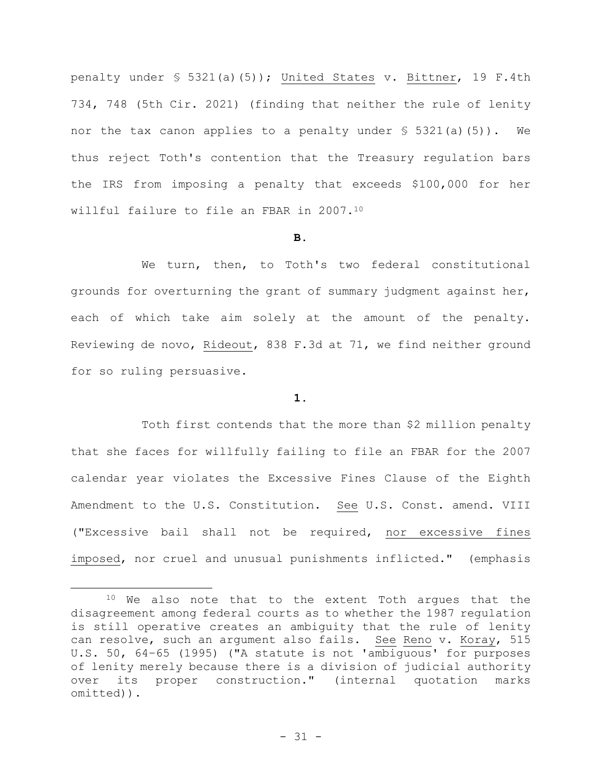penalty under § 5321(a)(5)); United States v. Bittner, 19 F.4th 734, 748 (5th Cir. 2021) (finding that neither the rule of lenity nor the tax canon applies to a penalty under § 5321(a)(5)). We thus reject Toth's contention that the Treasury regulation bars the IRS from imposing a penalty that exceeds \$100,000 for her willful failure to file an FBAR in 2007.<sup>10</sup>

## **B.**

We turn, then, to Toth's two federal constitutional grounds for overturning the grant of summary judgment against her, each of which take aim solely at the amount of the penalty. Reviewing de novo, Rideout, 838 F.3d at 71, we find neither ground for so ruling persuasive.

## **1.**

Toth first contends that the more than \$2 million penalty that she faces for willfully failing to file an FBAR for the 2007 calendar year violates the Excessive Fines Clause of the Eighth Amendment to the U.S. Constitution. See U.S. Const. amend. VIII ("Excessive bail shall not be required, nor excessive fines imposed, nor cruel and unusual punishments inflicted." (emphasis

<sup>&</sup>lt;sup>10</sup> We also note that to the extent Toth argues that the disagreement among federal courts as to whether the 1987 regulation is still operative creates an ambiguity that the rule of lenity can resolve, such an argument also fails. See Reno v. Koray, 515 U.S. 50, 64–65 (1995) ("A statute is not 'ambiguous' for purposes of lenity merely because there is a division of judicial authority over its proper construction." (internal quotation marks omitted)).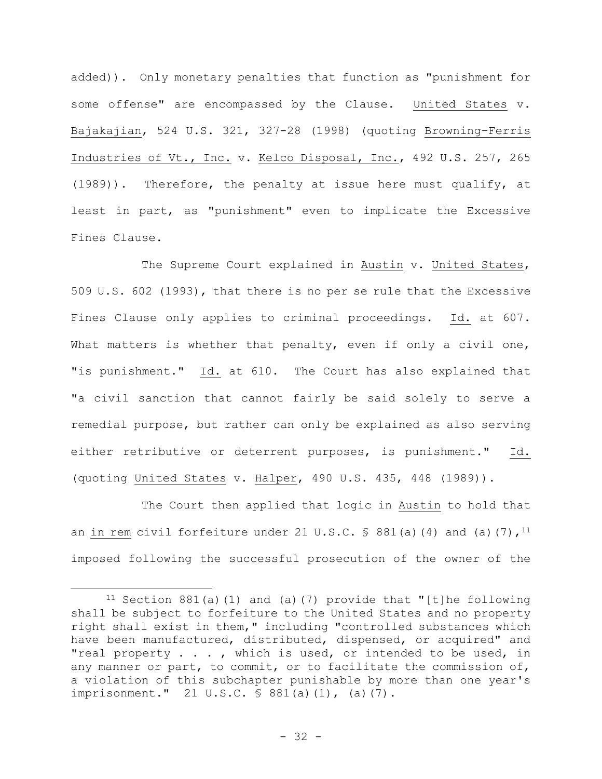added)). Only monetary penalties that function as "punishment for some offense" are encompassed by the Clause. United States v. Bajakajian, 524 U.S. 321, 327-28 (1998) (quoting Browning–Ferris Industries of Vt., Inc. v. Kelco Disposal, Inc., 492 U.S. 257, 265 (1989)). Therefore, the penalty at issue here must qualify, at least in part, as "punishment" even to implicate the Excessive Fines Clause.

The Supreme Court explained in Austin v. United States, 509 U.S. 602 (1993), that there is no per se rule that the Excessive Fines Clause only applies to criminal proceedings. Id. at 607. What matters is whether that penalty, even if only a civil one, "is punishment." Id. at 610. The Court has also explained that "a civil sanction that cannot fairly be said solely to serve a remedial purpose, but rather can only be explained as also serving either retributive or deterrent purposes, is punishment." Id. (quoting United States v. Halper, 490 U.S. 435, 448 (1989)).

The Court then applied that logic in Austin to hold that an in rem civil forfeiture under 21 U.S.C.  $\frac{1}{5}$  881(a)(4) and (a)(7),<sup>11</sup> imposed following the successful prosecution of the owner of the

<sup>&</sup>lt;sup>11</sup> Section 881(a)(1) and (a)(7) provide that "[t]he following shall be subject to forfeiture to the United States and no property right shall exist in them," including "controlled substances which have been manufactured, distributed, dispensed, or acquired" and "real property . . . , which is used, or intended to be used, in any manner or part, to commit, or to facilitate the commission of, a violation of this subchapter punishable by more than one year's imprisonment." 21 U.S.C. § 881(a)(1), (a)(7).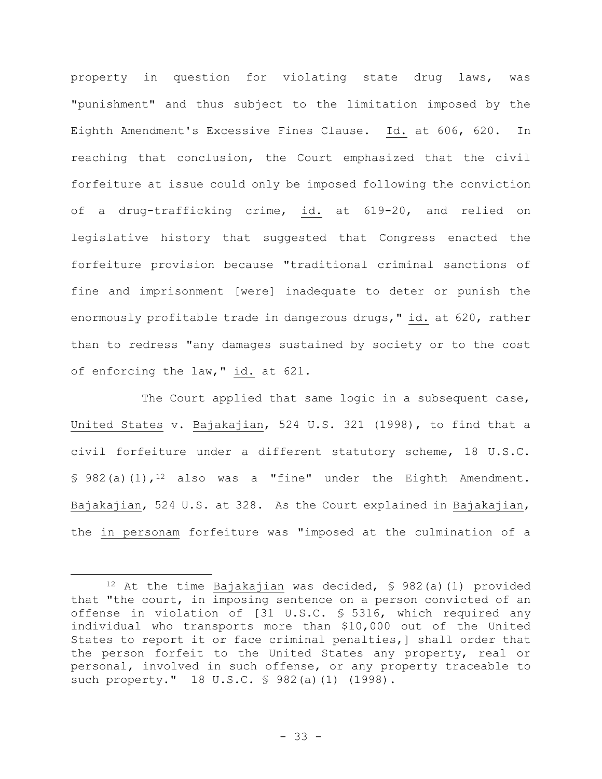property in question for violating state drug laws, was "punishment" and thus subject to the limitation imposed by the Eighth Amendment's Excessive Fines Clause. Id. at 606, 620. In reaching that conclusion, the Court emphasized that the civil forfeiture at issue could only be imposed following the conviction of a drug-trafficking crime, id. at 619-20, and relied on legislative history that suggested that Congress enacted the forfeiture provision because "traditional criminal sanctions of fine and imprisonment [were] inadequate to deter or punish the enormously profitable trade in dangerous drugs," id. at 620, rather than to redress "any damages sustained by society or to the cost of enforcing the law," id. at 621.

The Court applied that same logic in a subsequent case, United States v. Bajakajian, 524 U.S. 321 (1998), to find that a civil forfeiture under a different statutory scheme, 18 U.S.C. § 982(a)(1),<sup>12</sup> also was a "fine" under the Eighth Amendment. Bajakajian, 524 U.S. at 328. As the Court explained in Bajakajian, the in personam forfeiture was "imposed at the culmination of a

<sup>12</sup> At the time Bajakajian was decided, § 982(a)(1) provided that "the court, in imposing sentence on a person convicted of an offense in violation of [31 U.S.C. § 5316, which required any individual who transports more than \$10,000 out of the United States to report it or face criminal penalties,] shall order that the person forfeit to the United States any property, real or personal, involved in such offense, or any property traceable to such property." 18 U.S.C. § 982(a)(1) (1998).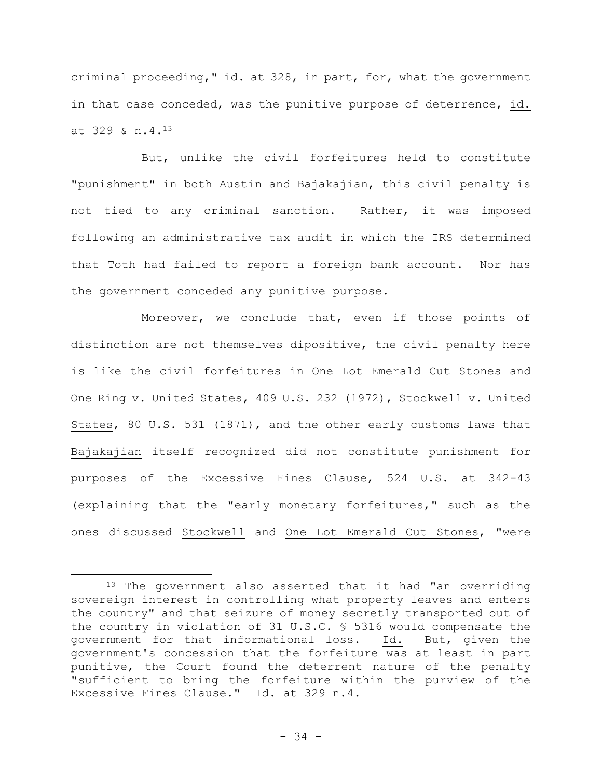criminal proceeding," id. at 328, in part, for, what the government in that case conceded, was the punitive purpose of deterrence, id. at 329 & n.4.<sup>13</sup>

But, unlike the civil forfeitures held to constitute "punishment" in both Austin and Bajakajian, this civil penalty is not tied to any criminal sanction. Rather, it was imposed following an administrative tax audit in which the IRS determined that Toth had failed to report a foreign bank account. Nor has the government conceded any punitive purpose.

Moreover, we conclude that, even if those points of distinction are not themselves dipositive, the civil penalty here is like the civil forfeitures in One Lot Emerald Cut Stones and One Ring v. United States, 409 U.S. 232 (1972), Stockwell v. United States, 80 U.S. 531 (1871), and the other early customs laws that Bajakajian itself recognized did not constitute punishment for purposes of the Excessive Fines Clause, 524 U.S. at 342-43 (explaining that the "early monetary forfeitures," such as the ones discussed Stockwell and One Lot Emerald Cut Stones, "were

<sup>&</sup>lt;sup>13</sup> The government also asserted that it had "an overriding sovereign interest in controlling what property leaves and enters the country" and that seizure of money secretly transported out of the country in violation of 31 U.S.C. § 5316 would compensate the government for that informational loss. Id. But, given the government's concession that the forfeiture was at least in part punitive, the Court found the deterrent nature of the penalty "sufficient to bring the forfeiture within the purview of the Excessive Fines Clause." Id. at 329 n.4.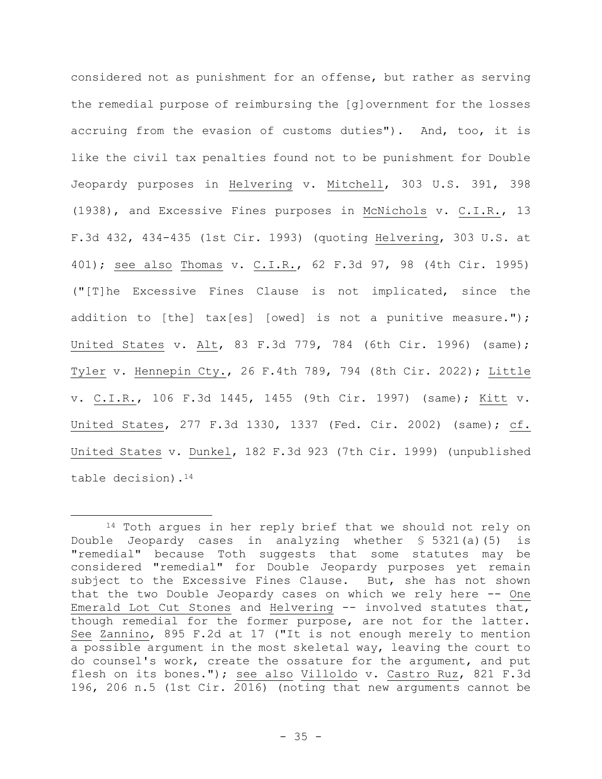considered not as punishment for an offense, but rather as serving the remedial purpose of reimbursing the [g]overnment for the losses accruing from the evasion of customs duties"). And, too, it is like the civil tax penalties found not to be punishment for Double Jeopardy purposes in Helvering v. Mitchell, 303 U.S. 391, 398 (1938), and Excessive Fines purposes in McNichols v. C.I.R., 13 F.3d 432, 434-435 (1st Cir. 1993) (quoting Helvering, 303 U.S. at 401); see also Thomas v. C.I.R., 62 F.3d 97, 98 (4th Cir. 1995) ("[T]he Excessive Fines Clause is not implicated, since the addition to [the] tax[es] [owed] is not a punitive measure."); United States v. Alt, 83 F.3d 779, 784 (6th Cir. 1996) (same); Tyler v. Hennepin Cty., 26 F.4th 789, 794 (8th Cir. 2022); Little v. C.I.R., 106 F.3d 1445, 1455 (9th Cir. 1997) (same); Kitt v. United States, 277 F.3d 1330, 1337 (Fed. Cir. 2002) (same); cf. United States v. Dunkel, 182 F.3d 923 (7th Cir. 1999) (unpublished table decision).<sup>14</sup>

<sup>&</sup>lt;sup>14</sup> Toth argues in her reply brief that we should not rely on Double Jeopardy cases in analyzing whether § 5321(a)(5) is "remedial" because Toth suggests that some statutes may be considered "remedial" for Double Jeopardy purposes yet remain subject to the Excessive Fines Clause. But, she has not shown that the two Double Jeopardy cases on which we rely here -- One Emerald Lot Cut Stones and Helvering -- involved statutes that, though remedial for the former purpose, are not for the latter. See Zannino, 895 F.2d at 17 ("It is not enough merely to mention a possible argument in the most skeletal way, leaving the court to do counsel's work, create the ossature for the argument, and put flesh on its bones."); see also Villoldo v. Castro Ruz, 821 F.3d 196, 206 n.5 (1st Cir. 2016) (noting that new arguments cannot be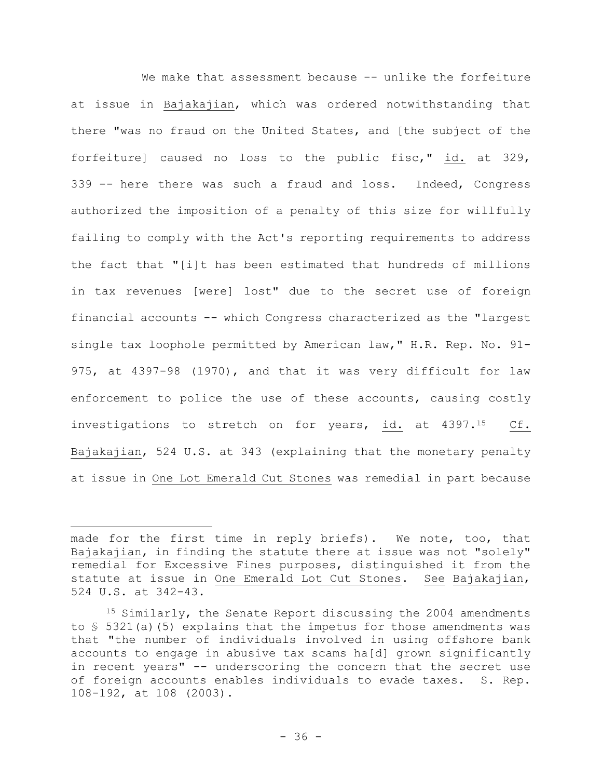We make that assessment because -- unlike the forfeiture at issue in Bajakajian, which was ordered notwithstanding that there "was no fraud on the United States, and [the subject of the forfeiture] caused no loss to the public fisc," id. at 329, 339 -- here there was such a fraud and loss. Indeed, Congress authorized the imposition of a penalty of this size for willfully failing to comply with the Act's reporting requirements to address the fact that "[i]t has been estimated that hundreds of millions in tax revenues [were] lost" due to the secret use of foreign financial accounts -- which Congress characterized as the "largest single tax loophole permitted by American law," H.R. Rep. No. 91- 975, at 4397-98 (1970), and that it was very difficult for law enforcement to police the use of these accounts, causing costly investigations to stretch on for years, id. at 4397.<sup>15</sup> Cf. Bajakajian, 524 U.S. at 343 (explaining that the monetary penalty at issue in One Lot Emerald Cut Stones was remedial in part because

made for the first time in reply briefs). We note, too, that Bajakajian, in finding the statute there at issue was not "solely" remedial for Excessive Fines purposes, distinguished it from the statute at issue in One Emerald Lot Cut Stones. See Bajakajian, 524 U.S. at 342-43.

<sup>&</sup>lt;sup>15</sup> Similarly, the Senate Report discussing the 2004 amendments to § 5321(a)(5) explains that the impetus for those amendments was that "the number of individuals involved in using offshore bank accounts to engage in abusive tax scams ha[d] grown significantly in recent years" -- underscoring the concern that the secret use of foreign accounts enables individuals to evade taxes. S. Rep. 108-192, at 108 (2003).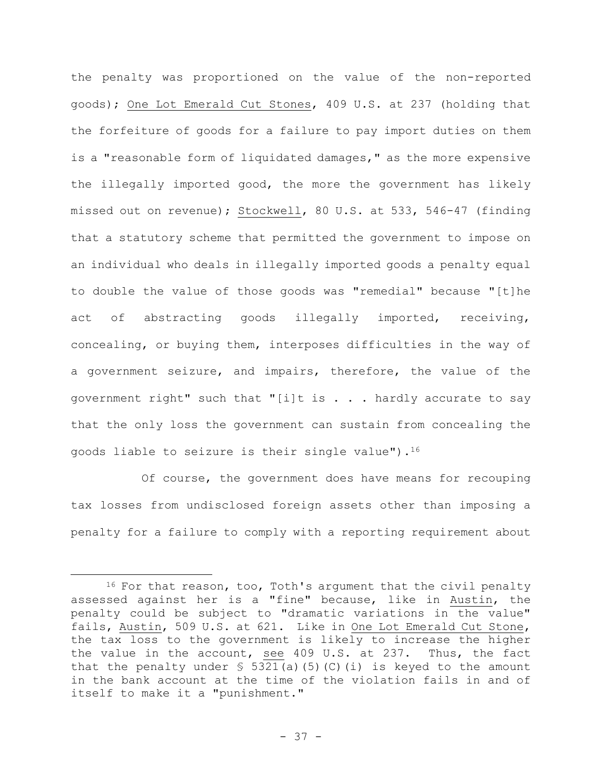the penalty was proportioned on the value of the non-reported goods); One Lot Emerald Cut Stones, 409 U.S. at 237 (holding that the forfeiture of goods for a failure to pay import duties on them is a "reasonable form of liquidated damages," as the more expensive the illegally imported good, the more the government has likely missed out on revenue); Stockwell, 80 U.S. at 533, 546-47 (finding that a statutory scheme that permitted the government to impose on an individual who deals in illegally imported goods a penalty equal to double the value of those goods was "remedial" because "[t]he act of abstracting goods illegally imported, receiving, concealing, or buying them, interposes difficulties in the way of a government seizure, and impairs, therefore, the value of the government right" such that "[i]t is  $\ldots$  . hardly accurate to say that the only loss the government can sustain from concealing the goods liable to seizure is their single value").  $16$ 

Of course, the government does have means for recouping tax losses from undisclosed foreign assets other than imposing a penalty for a failure to comply with a reporting requirement about

<sup>&</sup>lt;sup>16</sup> For that reason, too, Toth's argument that the civil penalty assessed against her is a "fine" because, like in Austin, the penalty could be subject to "dramatic variations in the value" fails, Austin, 509 U.S. at 621. Like in One Lot Emerald Cut Stone, the tax loss to the government is likely to increase the higher the value in the account, see 409 U.S. at 237. Thus, the fact that the penalty under  $\frac{1}{5}$  5321(a)(5)(C)(i) is keyed to the amount in the bank account at the time of the violation fails in and of itself to make it a "punishment."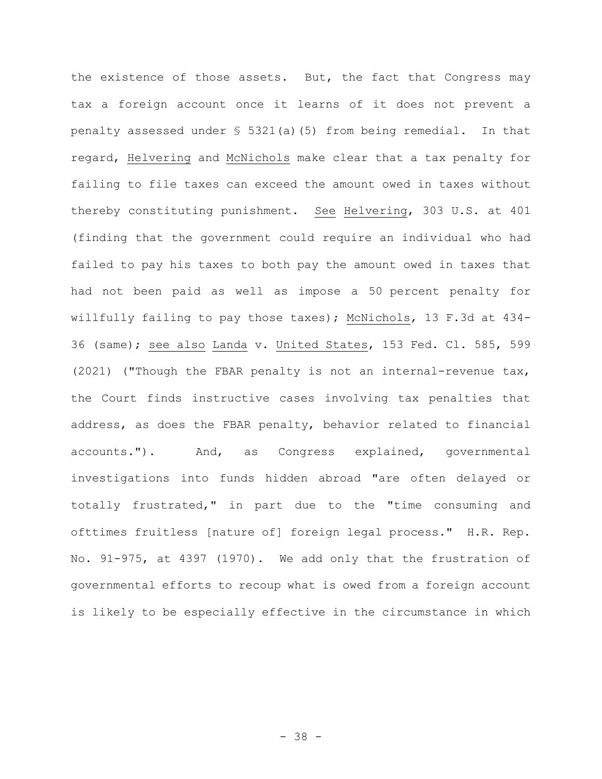the existence of those assets. But, the fact that Congress may tax a foreign account once it learns of it does not prevent a penalty assessed under § 5321(a)(5) from being remedial. In that regard, Helvering and McNichols make clear that a tax penalty for failing to file taxes can exceed the amount owed in taxes without thereby constituting punishment. See Helvering, 303 U.S. at 401 (finding that the government could require an individual who had failed to pay his taxes to both pay the amount owed in taxes that had not been paid as well as impose a 50 percent penalty for willfully failing to pay those taxes); McNichols, 13 F.3d at 434- 36 (same); see also Landa v. United States, 153 Fed. Cl. 585, 599 (2021) ("Though the FBAR penalty is not an internal-revenue tax, the Court finds instructive cases involving tax penalties that address, as does the FBAR penalty, behavior related to financial accounts."). And, as Congress explained, governmental investigations into funds hidden abroad "are often delayed or totally frustrated," in part due to the "time consuming and ofttimes fruitless [nature of] foreign legal process." H.R. Rep. No. 91-975, at 4397 (1970). We add only that the frustration of governmental efforts to recoup what is owed from a foreign account is likely to be especially effective in the circumstance in which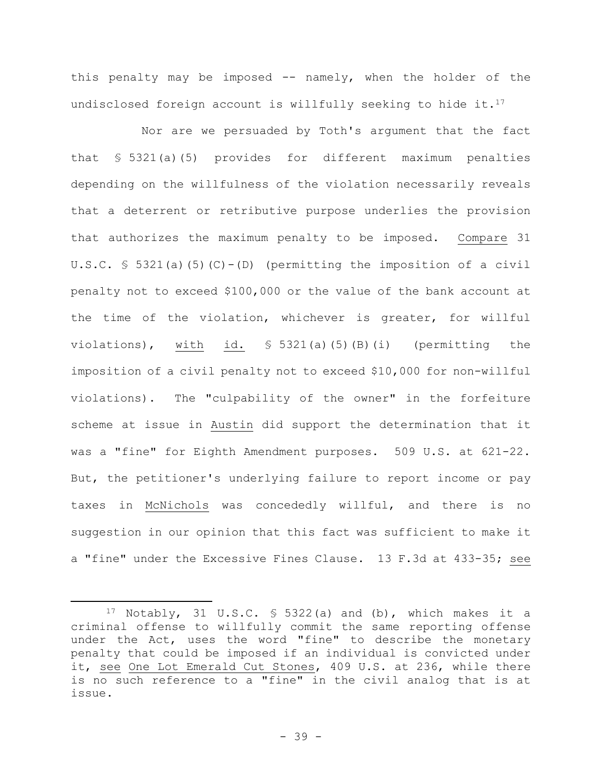this penalty may be imposed -- namely, when the holder of the undisclosed foreign account is willfully seeking to hide it.<sup>17</sup>

Nor are we persuaded by Toth's argument that the fact that § 5321(a)(5) provides for different maximum penalties depending on the willfulness of the violation necessarily reveals that a deterrent or retributive purpose underlies the provision that authorizes the maximum penalty to be imposed. Compare 31 U.S.C. § 5321(a)(5)(C)-(D) (permitting the imposition of a civil penalty not to exceed \$100,000 or the value of the bank account at the time of the violation, whichever is greater, for willful violations), with id. § 5321(a)(5)(B)(i) (permitting the imposition of a civil penalty not to exceed \$10,000 for non-willful violations). The "culpability of the owner" in the forfeiture scheme at issue in Austin did support the determination that it was a "fine" for Eighth Amendment purposes. 509 U.S. at 621-22. But, the petitioner's underlying failure to report income or pay taxes in McNichols was concededly willful, and there is no suggestion in our opinion that this fact was sufficient to make it a "fine" under the Excessive Fines Clause. 13 F.3d at 433-35; see

<sup>17</sup> Notably, 31 U.S.C.  $\frac{1}{2}$  5322(a) and (b), which makes it a criminal offense to willfully commit the same reporting offense under the Act, uses the word "fine" to describe the monetary penalty that could be imposed if an individual is convicted under it, see One Lot Emerald Cut Stones, 409 U.S. at 236, while there is no such reference to a "fine" in the civil analog that is at issue.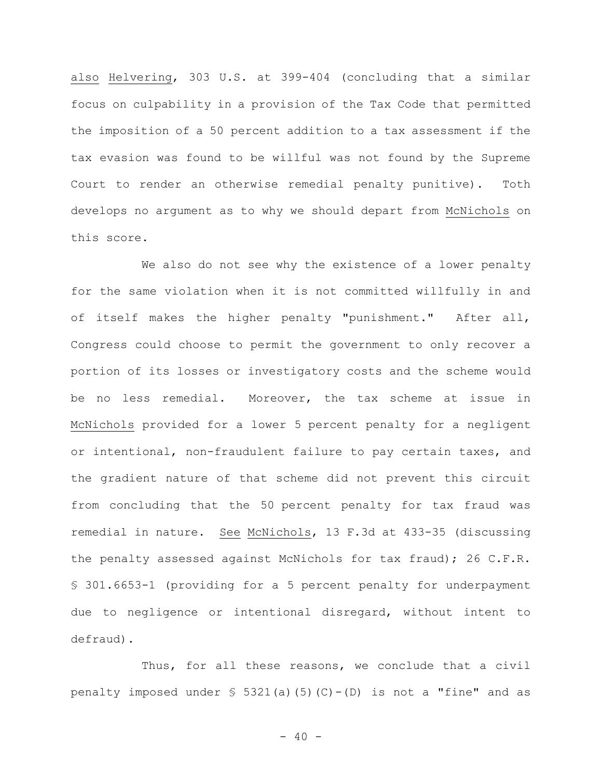also Helvering, 303 U.S. at 399-404 (concluding that a similar focus on culpability in a provision of the Tax Code that permitted the imposition of a 50 percent addition to a tax assessment if the tax evasion was found to be willful was not found by the Supreme Court to render an otherwise remedial penalty punitive). Toth develops no argument as to why we should depart from McNichols on this score.

We also do not see why the existence of a lower penalty for the same violation when it is not committed willfully in and of itself makes the higher penalty "punishment." After all, Congress could choose to permit the government to only recover a portion of its losses or investigatory costs and the scheme would be no less remedial. Moreover, the tax scheme at issue in McNichols provided for a lower 5 percent penalty for a negligent or intentional, non-fraudulent failure to pay certain taxes, and the gradient nature of that scheme did not prevent this circuit from concluding that the 50 percent penalty for tax fraud was remedial in nature. See McNichols, 13 F.3d at 433-35 (discussing the penalty assessed against McNichols for tax fraud); 26 C.F.R. § 301.6653-1 (providing for a 5 percent penalty for underpayment due to negligence or intentional disregard, without intent to defraud).

Thus, for all these reasons, we conclude that a civil penalty imposed under  $\frac{1}{5}$  5321(a)(5)(C)-(D) is not a "fine" and as

 $- 40 -$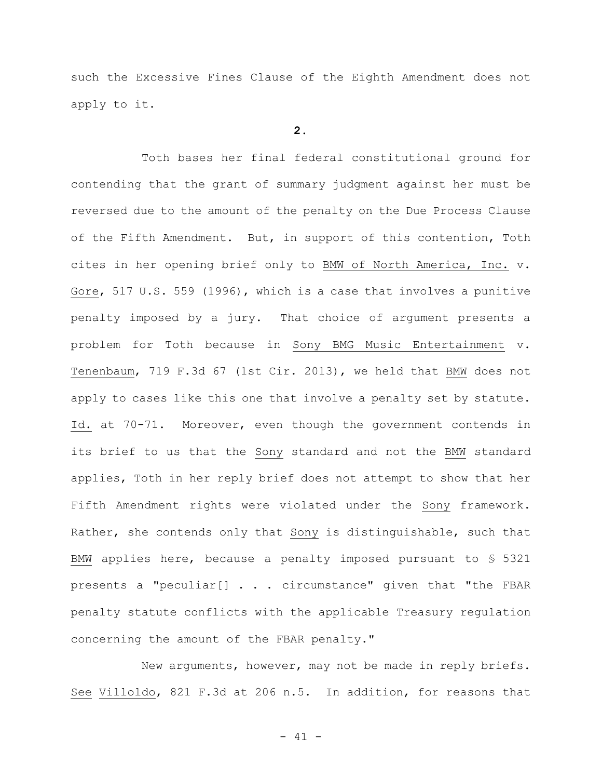such the Excessive Fines Clause of the Eighth Amendment does not apply to it.

## **2.**

Toth bases her final federal constitutional ground for contending that the grant of summary judgment against her must be reversed due to the amount of the penalty on the Due Process Clause of the Fifth Amendment. But, in support of this contention, Toth cites in her opening brief only to BMW of North America, Inc. v. Gore, 517 U.S. 559 (1996), which is a case that involves a punitive penalty imposed by a jury. That choice of argument presents a problem for Toth because in Sony BMG Music Entertainment v. Tenenbaum, 719 F.3d 67 (1st Cir. 2013), we held that BMW does not apply to cases like this one that involve a penalty set by statute. Id. at 70-71. Moreover, even though the government contends in its brief to us that the Sony standard and not the BMW standard applies, Toth in her reply brief does not attempt to show that her Fifth Amendment rights were violated under the Sony framework. Rather, she contends only that Sony is distinguishable, such that BMW applies here, because a penalty imposed pursuant to § 5321 presents a "peculiar[] . . . circumstance" given that "the FBAR penalty statute conflicts with the applicable Treasury regulation concerning the amount of the FBAR penalty."

New arguments, however, may not be made in reply briefs. See Villoldo, 821 F.3d at 206 n.5. In addition, for reasons that

- 41 -